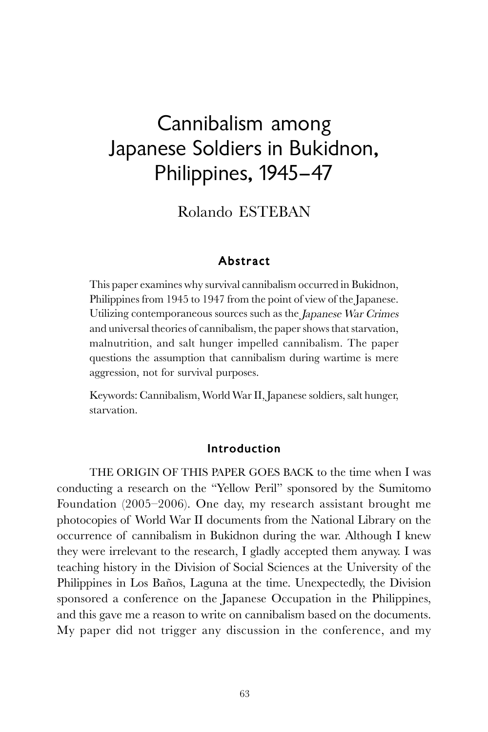# Cannibalism among Japanese Soldiers in Bukidnon, Philippines, 1945–47

Rolando ESTEBAN

### Abstract

This paper examines why survival cannibalism occurred in Bukidnon, Philippines from 1945 to 1947 from the point of view of the Japanese. Utilizing contemporaneous sources such as the Japanese War Crimes and universal theories of cannibalism, the paper shows that starvation, malnutrition, and salt hunger impelled cannibalism. The paper questions the assumption that cannibalism during wartime is mere aggression, not for survival purposes.

Keywords: Cannibalism, World War II, Japanese soldiers, salt hunger, starvation.

### Introduction

THE ORIGIN OF THIS PAPER GOES BACK to the time when I was conducting a research on the "Yellow Peril" sponsored by the Sumitomo Foundation (2005–2006). One day, my research assistant brought me photocopies of World War II documents from the National Library on the occurrence of cannibalism in Bukidnon during the war. Although I knew they were irrelevant to the research, I gladly accepted them anyway. I was teaching history in the Division of Social Sciences at the University of the Philippines in Los Baños, Laguna at the time. Unexpectedly, the Division sponsored a conference on the Japanese Occupation in the Philippines, and this gave me a reason to write on cannibalism based on the documents. My paper did not trigger any discussion in the conference, and my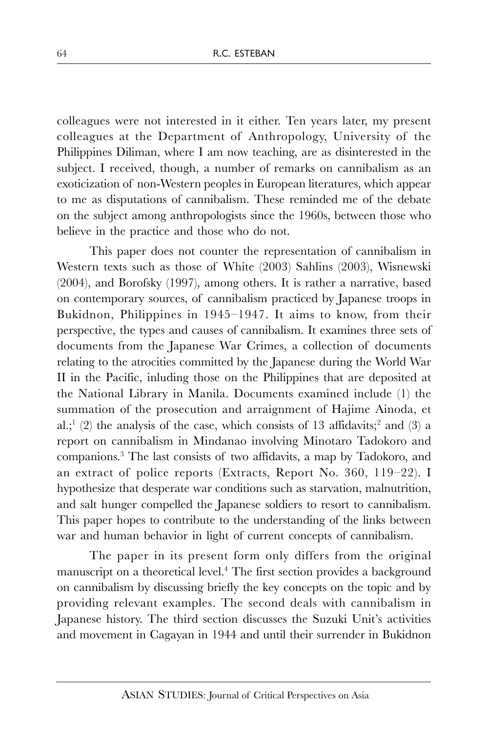colleagues were not interested in it either. Ten years later, my present colleagues at the Department of Anthropology, University of the Philippines Diliman, where I am now teaching, are as disinterested in the subject. I received, though, a number of remarks on cannibalism as an exoticization of non-Western peoples in European literatures, which appear to me as disputations of cannibalism. These reminded me of the debate on the subject among anthropologists since the 1960s, between those who believe in the practice and those who do not.

This paper does not counter the representation of cannibalism in Western texts such as those of White (2003) Sahlins (2003), Wisnewski (2004), and Borofsky (1997), among others. It is rather a narrative, based on contemporary sources, of cannibalism practiced by Japanese troops in Bukidnon, Philippines in 1945–1947. It aims to know, from their perspective, the types and causes of cannibalism. It examines three sets of documents from the Japanese War Crimes, a collection of documents relating to the atrocities committed by the Japanese during the World War II in the Pacific, inluding those on the Philippines that are deposited at the National Library in Manila. Documents examined include (1) the summation of the prosecution and arraignment of Hajime Ainoda, et al.;  $(2)$  the analysis of the case, which consists of 13 affidavits; and  $(3)$  a report on cannibalism in Mindanao involving Minotaro Tadokoro and companions. 3 The last consists of two affidavits, a map by Tadokoro, and an extract of police reports (Extracts, Report No. 360, 119–22). I hypothesize that desperate war conditions such as starvation, malnutrition, and salt hunger compelled the Japanese soldiers to resort to cannibalism. This paper hopes to contribute to the understanding of the links between war and human behavior in light of current concepts of cannibalism.

The paper in its present form only differs from the original manuscript on a theoretical level.<sup>4</sup> The first section provides a background on cannibalism by discussing briefly the key concepts on the topic and by providing relevant examples. The second deals with cannibalism in Japanese history. The third section discusses the Suzuki Unit's activities and movement in Cagayan in 1944 and until their surrender in Bukidnon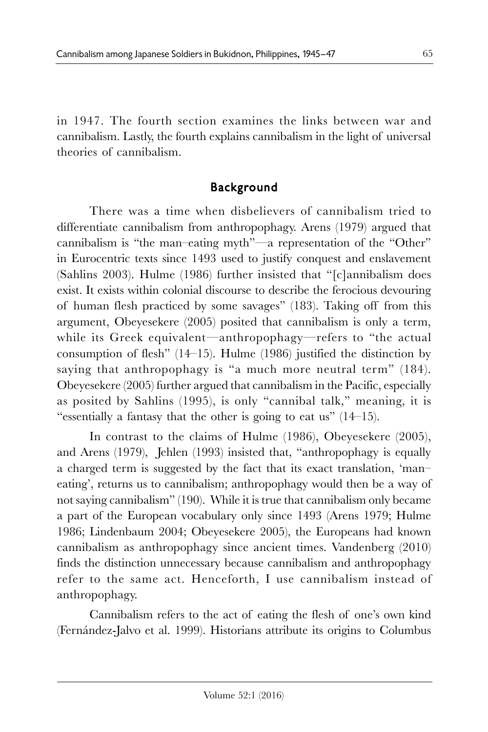in 1947. The fourth section examines the links between war and cannibalism. Lastly, the fourth explains cannibalism in the light of universal theories of cannibalism.

## Background

There was a time when disbelievers of cannibalism tried to differentiate cannibalism from anthropophagy. Arens (1979) argued that cannibalism is "the man–eating myth"—a representation of the "Other" in Eurocentric texts since 1493 used to justify conquest and enslavement (Sahlins 2003). Hulme (1986) further insisted that "[c]annibalism does exist. It exists within colonial discourse to describe the ferocious devouring of human flesh practiced by some savages" (183). Taking off from this argument, Obeyesekere (2005) posited that cannibalism is only a term, while its Greek equivalent—anthropophagy—refers to "the actual consumption of flesh" (14–15). Hulme (1986) justified the distinction by saying that anthropophagy is "a much more neutral term" (184). Obeyesekere (2005) further argued that cannibalism in the Pacific, especially as posited by Sahlins (1995), is only "cannibal talk," meaning, it is "essentially a fantasy that the other is going to eat us" (14–15).

In contrast to the claims of Hulme (1986), Obeyesekere (2005), and Arens (1979), Jehlen (1993) insisted that, "anthropophagy is equally a charged term is suggested by the fact that its exact translation, 'man– eating', returns us to cannibalism; anthropophagy would then be a way of not saying cannibalism" (190). While it is true that cannibalism only became a part of the European vocabulary only since 1493 (Arens 1979; Hulme 1986; Lindenbaum 2004; Obeyesekere 2005), the Europeans had known cannibalism as anthropophagy since ancient times. Vandenberg (2010) finds the distinction unnecessary because cannibalism and anthropophagy refer to the same act. Henceforth, I use cannibalism instead of anthropophagy.

Cannibalism refers to the act of eating the flesh of one's own kind (Fernández-Jalvo et al. 1999). Historians attribute its origins to Columbus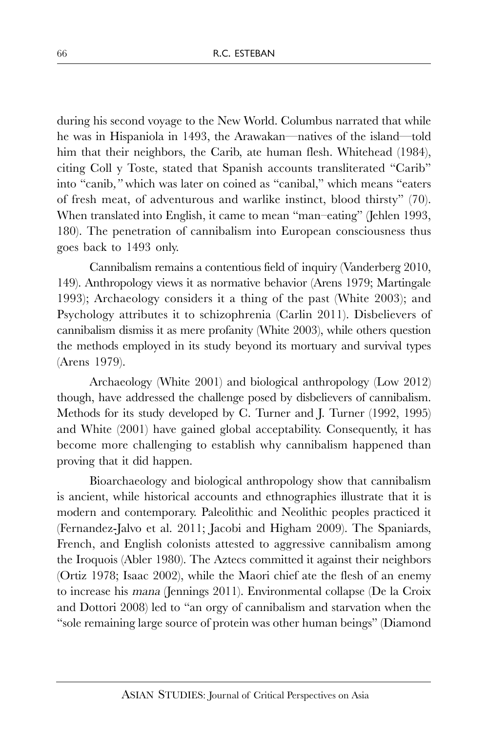during his second voyage to the New World. Columbus narrated that while he was in Hispaniola in 1493, the Arawakan—natives of the island—told him that their neighbors, the Carib, ate human flesh. Whitehead (1984), citing Coll y Toste, stated that Spanish accounts transliterated "Carib" into "canib," which was later on coined as "canibal," which means "eaters of fresh meat, of adventurous and warlike instinct, blood thirsty" (70). When translated into English, it came to mean "man–eating" (Jehlen 1993, 180). The penetration of cannibalism into European consciousness thus goes back to 1493 only.

Cannibalism remains a contentious field of inquiry (Vanderberg 2010, 149). Anthropology views it as normative behavior (Arens 1979; Martingale 1993); Archaeology considers it a thing of the past (White 2003); and Psychology attributes it to schizophrenia (Carlin 2011). Disbelievers of cannibalism dismiss it as mere profanity (White 2003), while others question the methods employed in its study beyond its mortuary and survival types (Arens 1979).

Archaeology (White 2001) and biological anthropology (Low 2012) though, have addressed the challenge posed by disbelievers of cannibalism. Methods for its study developed by C. Turner and J. Turner (1992, 1995) and White (2001) have gained global acceptability. Consequently, it has become more challenging to establish why cannibalism happened than proving that it did happen.

Bioarchaeology and biological anthropology show that cannibalism is ancient, while historical accounts and ethnographies illustrate that it is modern and contemporary. Paleolithic and Neolithic peoples practiced it (Fernandez-Jalvo et al. 2011; Jacobi and Higham 2009). The Spaniards, French, and English colonists attested to aggressive cannibalism among the Iroquois (Abler 1980). The Aztecs committed it against their neighbors (Ortiz 1978; Isaac 2002), while the Maori chief ate the flesh of an enemy to increase his mana (Jennings 2011). Environmental collapse (De la Croix and Dottori 2008) led to "an orgy of cannibalism and starvation when the "sole remaining large source of protein was other human beings" (Diamond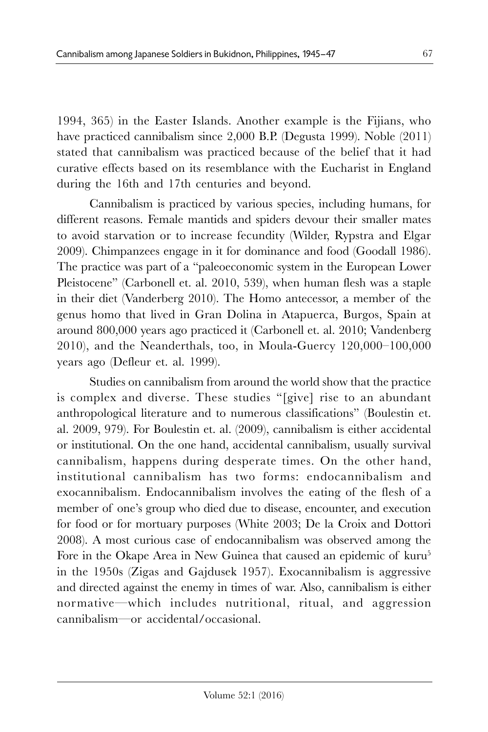1994, 365) in the Easter Islands. Another example is the Fijians, who have practiced cannibalism since 2,000 B.P. (Degusta 1999). Noble (2011) stated that cannibalism was practiced because of the belief that it had curative effects based on its resemblance with the Eucharist in England during the 16th and 17th centuries and beyond.

Cannibalism is practiced by various species, including humans, for different reasons. Female mantids and spiders devour their smaller mates to avoid starvation or to increase fecundity (Wilder, Rypstra and Elgar 2009). Chimpanzees engage in it for dominance and food (Goodall 1986). The practice was part of a "paleoeconomic system in the European Lower Pleistocene" (Carbonell et. al. 2010, 539), when human flesh was a staple in their diet (Vanderberg 2010). The Homo antecessor, a member of the genus homo that lived in Gran Dolina in Atapuerca, Burgos, Spain at around 800,000 years ago practiced it (Carbonell et. al. 2010; Vandenberg 2010), and the Neanderthals, too, in Moula-Guercy 120,000–100,000 years ago (Defleur et. al. 1999).

Studies on cannibalism from around the world show that the practice is complex and diverse. These studies "[give] rise to an abundant anthropological literature and to numerous classifications" (Boulestin et. al. 2009, 979). For Boulestin et. al. (2009), cannibalism is either accidental or institutional. On the one hand, accidental cannibalism, usually survival cannibalism, happens during desperate times. On the other hand, institutional cannibalism has two forms: endocannibalism and exocannibalism. Endocannibalism involves the eating of the flesh of a member of one's group who died due to disease, encounter, and execution for food or for mortuary purposes (White 2003; De la Croix and Dottori 2008). A most curious case of endocannibalism was observed among the Fore in the Okape Area in New Guinea that caused an epidemic of kuru<sup>5</sup> in the 1950s (Zigas and Gajdusek 1957). Exocannibalism is aggressive and directed against the enemy in times of war. Also, cannibalism is either normative—which includes nutritional, ritual, and aggression cannibalism—or accidental/occasional.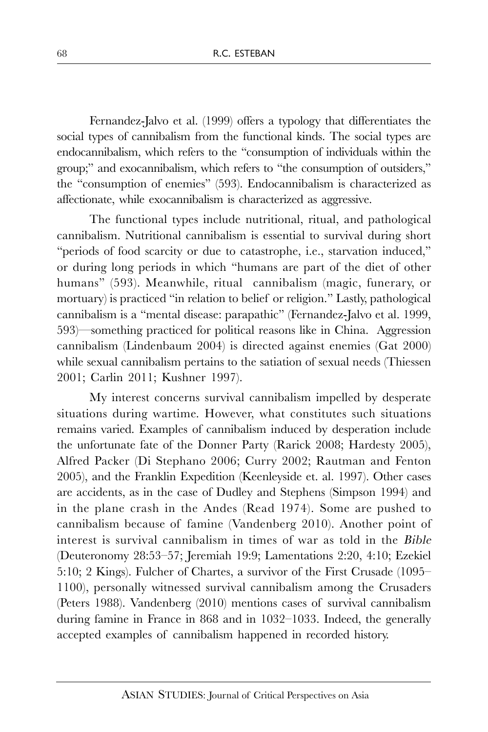Fernandez-Jalvo et al. (1999) offers a typology that differentiates the social types of cannibalism from the functional kinds. The social types are endocannibalism, which refers to the "consumption of individuals within the group;" and exocannibalism, which refers to "the consumption of outsiders," the "consumption of enemies" (593). Endocannibalism is characterized as affectionate, while exocannibalism is characterized as aggressive.

The functional types include nutritional, ritual, and pathological cannibalism. Nutritional cannibalism is essential to survival during short "periods of food scarcity or due to catastrophe, i.e., starvation induced," or during long periods in which "humans are part of the diet of other humans" (593). Meanwhile, ritual cannibalism (magic, funerary, or mortuary) is practiced "in relation to belief or religion." Lastly, pathological cannibalism is a "mental disease: parapathic" (Fernandez-Jalvo et al. 1999, 593)—something practiced for political reasons like in China. Aggression cannibalism (Lindenbaum 2004) is directed against enemies (Gat 2000) while sexual cannibalism pertains to the satiation of sexual needs (Thiessen 2001; Carlin 2011; Kushner 1997).

My interest concerns survival cannibalism impelled by desperate situations during wartime. However, what constitutes such situations remains varied. Examples of cannibalism induced by desperation include the unfortunate fate of the Donner Party (Rarick 2008; Hardesty 2005), Alfred Packer (Di Stephano 2006; Curry 2002; Rautman and Fenton 2005), and the Franklin Expedition (Keenleyside et. al. 1997). Other cases are accidents, as in the case of Dudley and Stephens (Simpson 1994) and in the plane crash in the Andes (Read 1974). Some are pushed to cannibalism because of famine (Vandenberg 2010). Another point of interest is survival cannibalism in times of war as told in the Bible (Deuteronomy 28:53–57; Jeremiah 19:9; Lamentations 2:20, 4:10; Ezekiel 5:10; 2 Kings). Fulcher of Chartes, a survivor of the First Crusade (1095– 1100), personally witnessed survival cannibalism among the Crusaders (Peters 1988). Vandenberg (2010) mentions cases of survival cannibalism during famine in France in 868 and in 1032–1033. Indeed, the generally accepted examples of cannibalism happened in recorded history.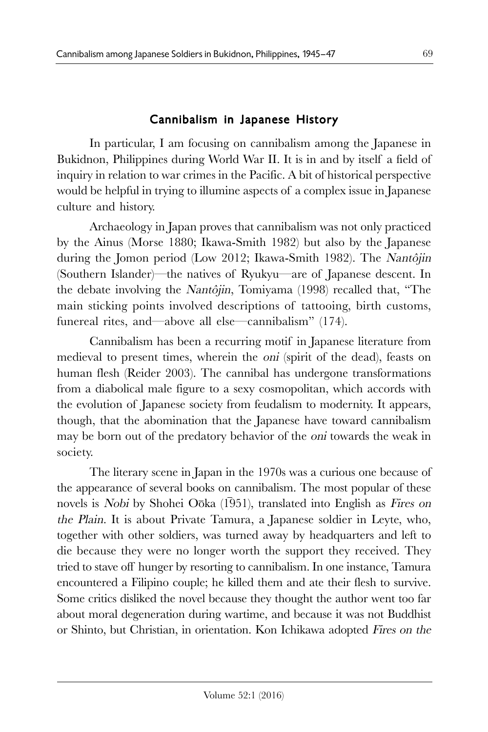## Cannibalism in Japanese History

In particular, I am focusing on cannibalism among the Japanese in Bukidnon, Philippines during World War II. It is in and by itself a field of inquiry in relation to war crimes in the Pacific. A bit of historical perspective would be helpful in trying to illumine aspects of a complex issue in Japanese culture and history.

Archaeology in Japan proves that cannibalism was not only practiced by the Ainus (Morse 1880; Ikawa-Smith 1982) but also by the Japanese during the Jomon period (Low 2012; Ikawa-Smith 1982). The Nantôjin (Southern Islander)—the natives of Ryukyu—are of Japanese descent. In the debate involving the Nantôjin, Tomiyama (1998) recalled that, "The main sticking points involved descriptions of tattooing, birth customs, funereal rites, and—above all else—cannibalism" (174).

Cannibalism has been a recurring motif in Japanese literature from medieval to present times, wherein the *oni* (spirit of the dead), feasts on human flesh (Reider 2003). The cannibal has undergone transformations from a diabolical male figure to a sexy cosmopolitan, which accords with the evolution of Japanese society from feudalism to modernity. It appears, though, that the abomination that the Japanese have toward cannibalism may be born out of the predatory behavior of the oni towards the weak in society.

The literary scene in Japan in the 1970s was a curious one because of the appearance of several books on cannibalism. The most popular of these novels is Nobi by Shohei Oōka  $(1\overline{9}51)$ , translated into English as Fires on the Plain. It is about Private Tamura, a Japanese soldier in Leyte, who, together with other soldiers, was turned away by headquarters and left to die because they were no longer worth the support they received. They tried to stave off hunger by resorting to cannibalism. In one instance, Tamura encountered a Filipino couple; he killed them and ate their flesh to survive. Some critics disliked the novel because they thought the author went too far about moral degeneration during wartime, and because it was not Buddhist or Shinto, but Christian, in orientation. Kon Ichikawa adopted Fires on the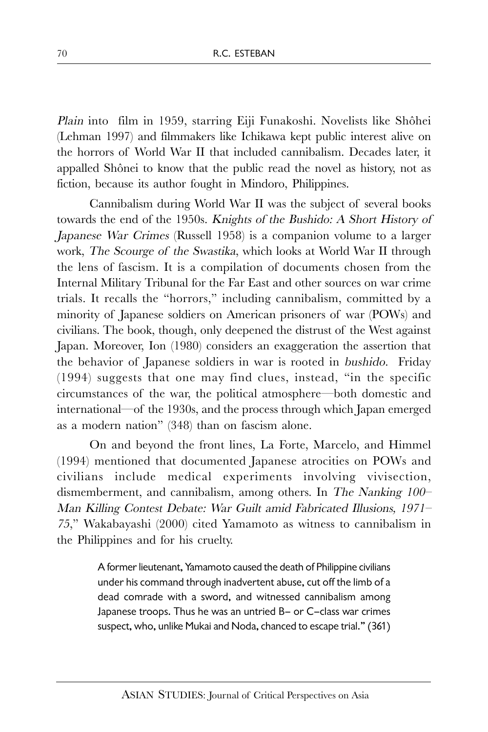Plain into film in 1959, starring Eiji Funakoshi. Novelists like Shôhei (Lehman 1997) and filmmakers like Ichikawa kept public interest alive on the horrors of World War II that included cannibalism. Decades later, it appalled Shônei to know that the public read the novel as history, not as fiction, because its author fought in Mindoro, Philippines.

Cannibalism during World War II was the subject of several books towards the end of the 1950s. Knights of the Bushido: A Short History of Japanese War Crimes (Russell 1958) is a companion volume to a larger work, The Scourge of the Swastika, which looks at World War II through the lens of fascism. It is a compilation of documents chosen from the Internal Military Tribunal for the Far East and other sources on war crime trials. It recalls the "horrors," including cannibalism, committed by a minority of Japanese soldiers on American prisoners of war (POWs) and civilians. The book, though, only deepened the distrust of the West against Japan. Moreover, Ion (1980) considers an exaggeration the assertion that the behavior of Japanese soldiers in war is rooted in bushido. Friday (1994) suggests that one may find clues, instead, "in the specific circumstances of the war, the political atmosphere—both domestic and international—of the 1930s, and the process through which Japan emerged as a modern nation" (348) than on fascism alone.

On and beyond the front lines, La Forte, Marcelo, and Himmel (1994) mentioned that documented Japanese atrocities on POWs and civilians include medical experiments involving vivisection, dismemberment, and cannibalism, among others. In The Nanking 100– Man Killing Contest Debate: War Guilt amid Fabricated Illusions, 1971– <sup>75</sup>," Wakabayashi (2000) cited Yamamoto as witness to cannibalism in the Philippines and for his cruelty.

> A former lieutenant, Yamamoto caused the death of Philippine civilians under his command through inadvertent abuse, cut off the limb of a dead comrade with a sword, and witnessed cannibalism among Japanese troops. Thus he was an untried B– or C–class war crimes suspect, who, unlike Mukai and Noda, chanced to escape trial." (361)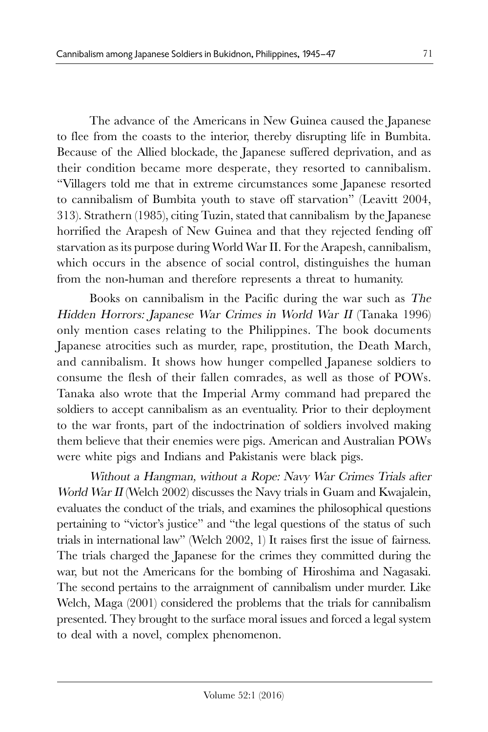The advance of the Americans in New Guinea caused the Japanese to flee from the coasts to the interior, thereby disrupting life in Bumbita. Because of the Allied blockade, the Japanese suffered deprivation, and as their condition became more desperate, they resorted to cannibalism. "Villagers told me that in extreme circumstances some Japanese resorted to cannibalism of Bumbita youth to stave off starvation" (Leavitt 2004, 313). Strathern (1985), citing Tuzin, stated that cannibalism by the Japanese horrified the Arapesh of New Guinea and that they rejected fending off starvation as its purpose during World War II. For the Arapesh, cannibalism, which occurs in the absence of social control, distinguishes the human from the non-human and therefore represents a threat to humanity.

Books on cannibalism in the Pacific during the war such as The Hidden Horrors: Japanese War Crimes in World War II (Tanaka 1996) only mention cases relating to the Philippines. The book documents Japanese atrocities such as murder, rape, prostitution, the Death March, and cannibalism. It shows how hunger compelled Japanese soldiers to consume the flesh of their fallen comrades, as well as those of POWs. Tanaka also wrote that the Imperial Army command had prepared the soldiers to accept cannibalism as an eventuality. Prior to their deployment to the war fronts, part of the indoctrination of soldiers involved making them believe that their enemies were pigs. American and Australian POWs were white pigs and Indians and Pakistanis were black pigs.

Without a Hangman, without a Rope: Navy War Crimes Trials after World War II (Welch 2002) discusses the Navy trials in Guam and Kwajalein, evaluates the conduct of the trials, and examines the philosophical questions pertaining to "victor's justice" and "the legal questions of the status of such trials in international law" (Welch 2002, 1) It raises first the issue of fairness. The trials charged the Japanese for the crimes they committed during the war, but not the Americans for the bombing of Hiroshima and Nagasaki. The second pertains to the arraignment of cannibalism under murder. Like Welch, Maga (2001) considered the problems that the trials for cannibalism presented. They brought to the surface moral issues and forced a legal system to deal with a novel, complex phenomenon.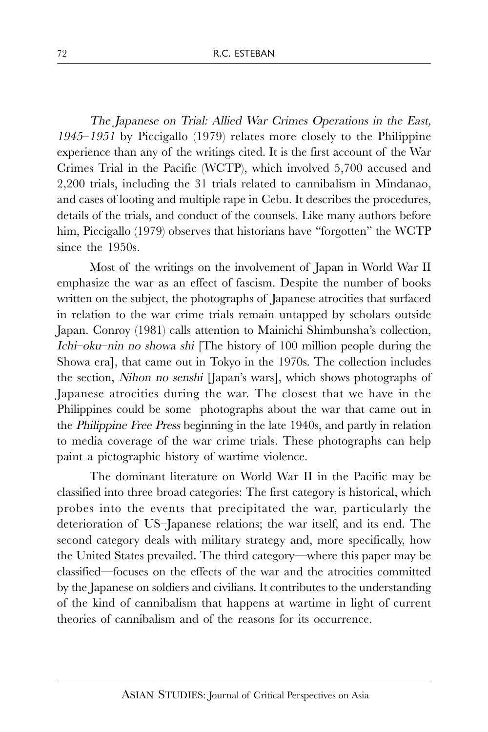The Japanese on Trial: Allied War Crimes Operations in the East, <sup>1945</sup>–1951 by Piccigallo (1979) relates more closely to the Philippine experience than any of the writings cited. It is the first account of the War Crimes Trial in the Pacific (WCTP), which involved 5,700 accused and 2,200 trials, including the 31 trials related to cannibalism in Mindanao, and cases of looting and multiple rape in Cebu. It describes the procedures, details of the trials, and conduct of the counsels. Like many authors before him, Piccigallo (1979) observes that historians have "forgotten" the WCTP since the 1950s.

Most of the writings on the involvement of Japan in World War II emphasize the war as an effect of fascism. Despite the number of books written on the subject, the photographs of Japanese atrocities that surfaced in relation to the war crime trials remain untapped by scholars outside Japan. Conroy (1981) calls attention to Mainichi Shimbunsha's collection, Ichi–oku–nin no showa shi [The history of 100 million people during the Showa era], that came out in Tokyo in the 1970s. The collection includes the section, Nihon no senshi [Japan's wars], which shows photographs of Japanese atrocities during the war. The closest that we have in the Philippines could be some photographs about the war that came out in the Philippine Free Press beginning in the late 1940s, and partly in relation to media coverage of the war crime trials. These photographs can help paint a pictographic history of wartime violence.

The dominant literature on World War II in the Pacific may be classified into three broad categories: The first category is historical, which probes into the events that precipitated the war, particularly the deterioration of US–Japanese relations; the war itself, and its end. The second category deals with military strategy and, more specifically, how the United States prevailed. The third category—where this paper may be classified—focuses on the effects of the war and the atrocities committed by the Japanese on soldiers and civilians. It contributes to the understanding of the kind of cannibalism that happens at wartime in light of current theories of cannibalism and of the reasons for its occurrence.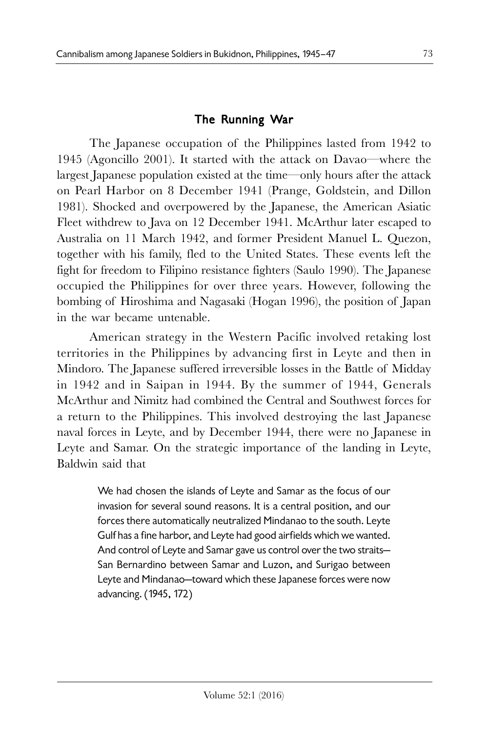### The Running War

The Japanese occupation of the Philippines lasted from 1942 to 1945 (Agoncillo 2001). It started with the attack on Davao—where the largest Japanese population existed at the time—only hours after the attack on Pearl Harbor on 8 December 1941 (Prange, Goldstein, and Dillon 1981). Shocked and overpowered by the Japanese, the American Asiatic Fleet withdrew to Java on 12 December 1941. McArthur later escaped to Australia on 11 March 1942, and former President Manuel L. Quezon, together with his family, fled to the United States. These events left the fight for freedom to Filipino resistance fighters (Saulo 1990). The Japanese occupied the Philippines for over three years. However, following the bombing of Hiroshima and Nagasaki (Hogan 1996), the position of Japan in the war became untenable.

American strategy in the Western Pacific involved retaking lost territories in the Philippines by advancing first in Leyte and then in Mindoro. The Japanese suffered irreversible losses in the Battle of Midday in 1942 and in Saipan in 1944. By the summer of 1944, Generals McArthur and Nimitz had combined the Central and Southwest forces for a return to the Philippines. This involved destroying the last Japanese naval forces in Leyte, and by December 1944, there were no Japanese in Leyte and Samar. On the strategic importance of the landing in Leyte, Baldwin said that

> We had chosen the islands of Leyte and Samar as the focus of our invasion for several sound reasons. It is a central position, and our forces there automatically neutralized Mindanao to the south. Leyte Gulf has a fine harbor, and Leyte had good airfields which we wanted. And control of Leyte and Samar gave us control over the two straits— San Bernardino between Samar and Luzon, and Surigao between Leyte and Mindanao—toward which these Japanese forces were now advancing. (1945, 172)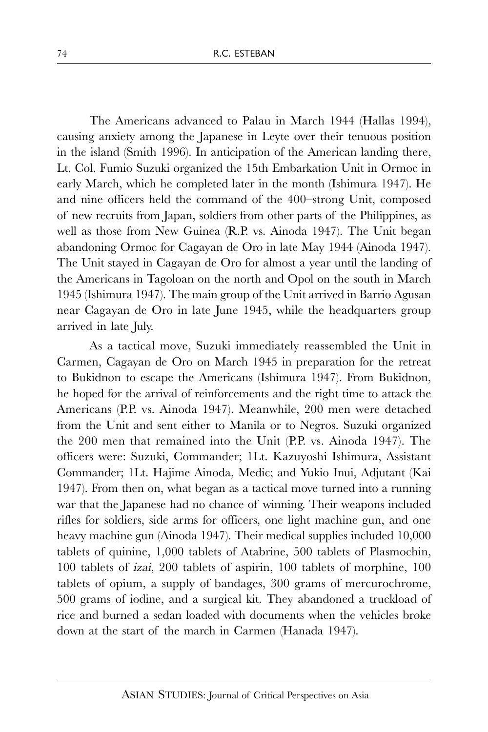The Americans advanced to Palau in March 1944 (Hallas 1994), causing anxiety among the Japanese in Leyte over their tenuous position in the island (Smith 1996). In anticipation of the American landing there, Lt. Col. Fumio Suzuki organized the 15th Embarkation Unit in Ormoc in early March, which he completed later in the month (Ishimura 1947). He and nine officers held the command of the 400–strong Unit, composed of new recruits from Japan, soldiers from other parts of the Philippines, as well as those from New Guinea (R.P. vs. Ainoda 1947). The Unit began abandoning Ormoc for Cagayan de Oro in late May 1944 (Ainoda 1947). The Unit stayed in Cagayan de Oro for almost a year until the landing of the Americans in Tagoloan on the north and Opol on the south in March 1945 (Ishimura 1947). The main group of the Unit arrived in Barrio Agusan near Cagayan de Oro in late June 1945, while the headquarters group arrived in late July.

As a tactical move, Suzuki immediately reassembled the Unit in Carmen, Cagayan de Oro on March 1945 in preparation for the retreat to Bukidnon to escape the Americans (Ishimura 1947). From Bukidnon, he hoped for the arrival of reinforcements and the right time to attack the Americans (P.P. vs. Ainoda 1947). Meanwhile, 200 men were detached from the Unit and sent either to Manila or to Negros. Suzuki organized the 200 men that remained into the Unit (P.P. vs. Ainoda 1947). The officers were: Suzuki, Commander; 1Lt. Kazuyoshi Ishimura, Assistant Commander; 1Lt. Hajime Ainoda, Medic; and Yukio Inui, Adjutant (Kai 1947). From then on, what began as a tactical move turned into a running war that the Japanese had no chance of winning. Their weapons included rifles for soldiers, side arms for officers, one light machine gun, and one heavy machine gun (Ainoda 1947). Their medical supplies included 10,000 tablets of quinine, 1,000 tablets of Atabrine, 500 tablets of Plasmochin, 100 tablets of izai, 200 tablets of aspirin, 100 tablets of morphine, 100 tablets of opium, a supply of bandages, 300 grams of mercurochrome, 500 grams of iodine, and a surgical kit. They abandoned a truckload of rice and burned a sedan loaded with documents when the vehicles broke down at the start of the march in Carmen (Hanada 1947).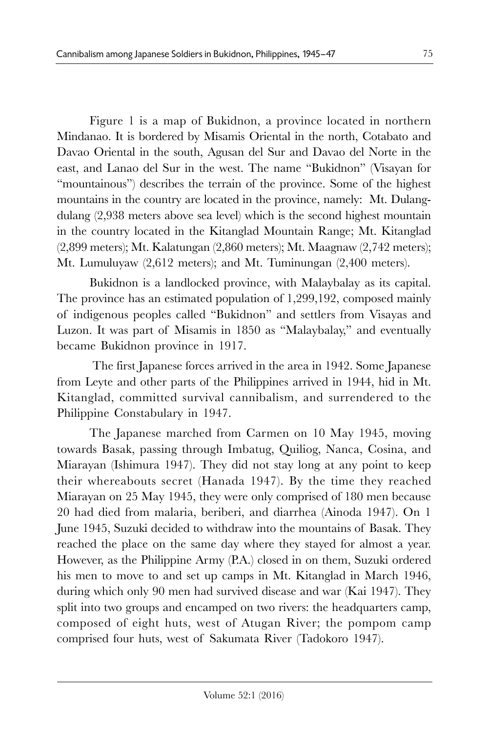Figure 1 is a map of Bukidnon, a province located in northern Mindanao. It is bordered by Misamis Oriental in the north, Cotabato and Davao Oriental in the south, Agusan del Sur and Davao del Norte in the east, and Lanao del Sur in the west. The name "Bukidnon" (Visayan for "mountainous") describes the terrain of the province. Some of the highest mountains in the country are located in the province, namely: Mt. Dulangdulang (2,938 meters above sea level) which is the second highest mountain in the country located in the Kitanglad Mountain Range; Mt. Kitanglad (2,899 meters); Mt. Kalatungan (2,860 meters); Mt. Maagnaw (2,742 meters); Mt. Lumuluyaw (2,612 meters); and Mt. Tuminungan (2,400 meters).

Bukidnon is a landlocked province, with Malaybalay as its capital. The province has an estimated population of 1,299,192, composed mainly of indigenous peoples called "Bukidnon" and settlers from Visayas and Luzon. It was part of Misamis in 1850 as "Malaybalay," and eventually became Bukidnon province in 1917.

 The first Japanese forces arrived in the area in 1942. Some Japanese from Leyte and other parts of the Philippines arrived in 1944, hid in Mt. Kitanglad, committed survival cannibalism, and surrendered to the Philippine Constabulary in 1947.

The Japanese marched from Carmen on 10 May 1945, moving towards Basak, passing through Imbatug, Quiliog, Nanca, Cosina, and Miarayan (Ishimura 1947). They did not stay long at any point to keep their whereabouts secret (Hanada 1947). By the time they reached Miarayan on 25 May 1945, they were only comprised of 180 men because 20 had died from malaria, beriberi, and diarrhea (Ainoda 1947). On 1 June 1945, Suzuki decided to withdraw into the mountains of Basak. They reached the place on the same day where they stayed for almost a year. However, as the Philippine Army (P.A.) closed in on them, Suzuki ordered his men to move to and set up camps in Mt. Kitanglad in March 1946, during which only 90 men had survived disease and war (Kai 1947). They split into two groups and encamped on two rivers: the headquarters camp, composed of eight huts, west of Atugan River; the pompom camp comprised four huts, west of Sakumata River (Tadokoro 1947).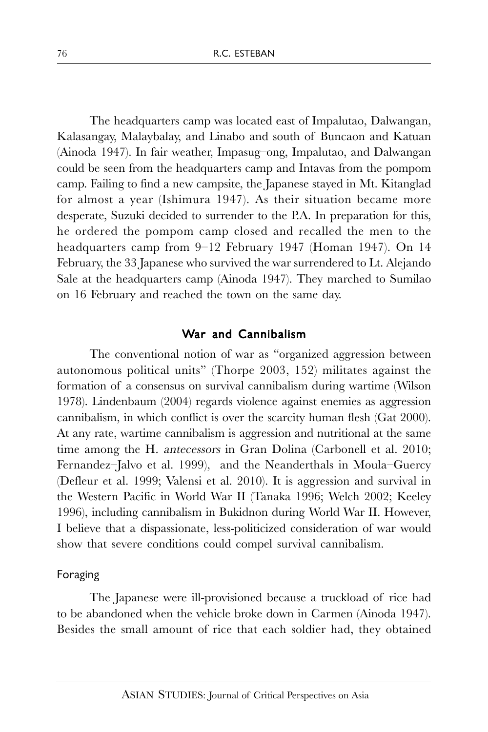The headquarters camp was located east of Impalutao, Dalwangan, Kalasangay, Malaybalay, and Linabo and south of Buncaon and Katuan (Ainoda 1947). In fair weather, Impasug–ong, Impalutao, and Dalwangan could be seen from the headquarters camp and Intavas from the pompom camp. Failing to find a new campsite, the Japanese stayed in Mt. Kitanglad for almost a year (Ishimura 1947). As their situation became more desperate, Suzuki decided to surrender to the P.A. In preparation for this, he ordered the pompom camp closed and recalled the men to the headquarters camp from 9–12 February 1947 (Homan 1947). On 14 February, the 33 Japanese who survived the war surrendered to Lt. Alejando Sale at the headquarters camp (Ainoda 1947). They marched to Sumilao on 16 February and reached the town on the same day.

#### War and Cannibalism

The conventional notion of war as "organized aggression between autonomous political units" (Thorpe 2003, 152) militates against the formation of a consensus on survival cannibalism during wartime (Wilson 1978). Lindenbaum (2004) regards violence against enemies as aggression cannibalism, in which conflict is over the scarcity human flesh (Gat 2000). At any rate, wartime cannibalism is aggression and nutritional at the same time among the H. antecessors in Gran Dolina (Carbonell et al. 2010; Fernandez–Jalvo et al. 1999), and the Neanderthals in Moula–Guercy (Defleur et al. 1999; Valensi et al. 2010). It is aggression and survival in the Western Pacific in World War II (Tanaka 1996; Welch 2002; Keeley 1996), including cannibalism in Bukidnon during World War II. However, I believe that a dispassionate, less-politicized consideration of war would show that severe conditions could compel survival cannibalism.

#### Foraging

The Japanese were ill-provisioned because a truckload of rice had to be abandoned when the vehicle broke down in Carmen (Ainoda 1947). Besides the small amount of rice that each soldier had, they obtained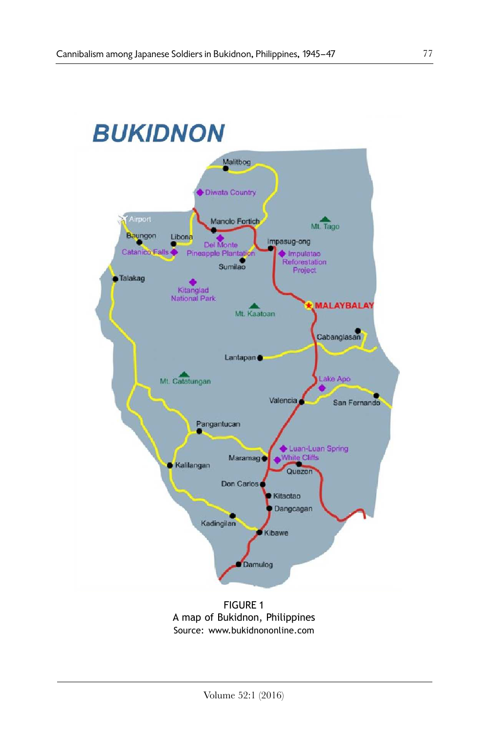### **BUKIDNON** Malitbog Diwata Country Airport Manolo Fortich Mt. Tago Baungon Libona Impasug-ong Del Monte Catanico Pineapple Plantation ۰ Impulatao Reforestation<br>Project Sumilao Talakag Kitanglad<br>National Park **MALAYBALAY** Mt. Kaatoan Cabanglasan Lantapan · Mt. Catatungan ake Apo Valencia San Fernando Pangantucan Luan-Luan Spring<br>White Cliffs Maramag · Kalilangan Quezor Don Carlos Kitaotao Dangcagan Kadingilan Kibawe Damulog

### FIGURE 1 A map of Bukidnon, Philippines Source: www.bukidnononline.com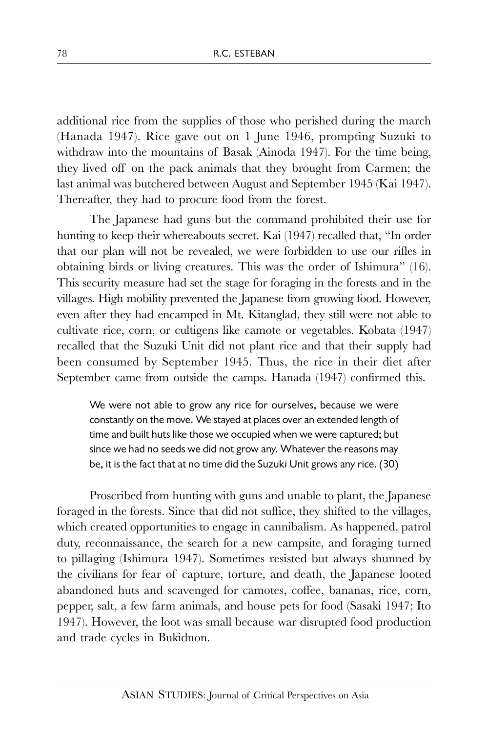additional rice from the supplies of those who perished during the march (Hanada 1947). Rice gave out on 1 June 1946, prompting Suzuki to withdraw into the mountains of Basak (Ainoda 1947). For the time being, they lived off on the pack animals that they brought from Carmen; the last animal was butchered between August and September 1945 (Kai 1947). Thereafter, they had to procure food from the forest.

The Japanese had guns but the command prohibited their use for hunting to keep their whereabouts secret. Kai (1947) recalled that, "In order that our plan will not be revealed, we were forbidden to use our rifles in obtaining birds or living creatures. This was the order of Ishimura" (16). This security measure had set the stage for foraging in the forests and in the villages. High mobility prevented the Japanese from growing food. However, even after they had encamped in Mt. Kitanglad, they still were not able to cultivate rice, corn, or cultigens like camote or vegetables. Kobata (1947) recalled that the Suzuki Unit did not plant rice and that their supply had been consumed by September 1945. Thus, the rice in their diet after September came from outside the camps. Hanada (1947) confirmed this.

We were not able to grow any rice for ourselves, because we were constantly on the move. We stayed at places over an extended length of time and built huts like those we occupied when we were captured; but since we had no seeds we did not grow any. Whatever the reasons may be, it is the fact that at no time did the Suzuki Unit grows any rice. (30)

Proscribed from hunting with guns and unable to plant, the Japanese foraged in the forests. Since that did not suffice, they shifted to the villages, which created opportunities to engage in cannibalism. As happened, patrol duty, reconnaissance, the search for a new campsite, and foraging turned to pillaging (Ishimura 1947). Sometimes resisted but always shunned by the civilians for fear of capture, torture, and death, the Japanese looted abandoned huts and scavenged for camotes, coffee, bananas, rice, corn, pepper, salt, a few farm animals, and house pets for food (Sasaki 1947; Ito 1947). However, the loot was small because war disrupted food production and trade cycles in Bukidnon.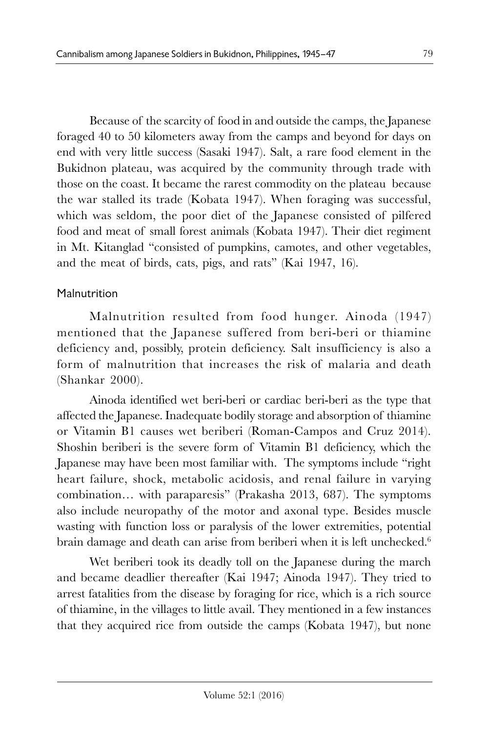Because of the scarcity of food in and outside the camps, the Japanese foraged 40 to 50 kilometers away from the camps and beyond for days on end with very little success (Sasaki 1947). Salt, a rare food element in the Bukidnon plateau, was acquired by the community through trade with those on the coast. It became the rarest commodity on the plateau because the war stalled its trade (Kobata 1947). When foraging was successful, which was seldom, the poor diet of the Japanese consisted of pilfered food and meat of small forest animals (Kobata 1947). Their diet regiment in Mt. Kitanglad "consisted of pumpkins, camotes, and other vegetables, and the meat of birds, cats, pigs, and rats" (Kai 1947, 16).

### **Malnutrition**

Malnutrition resulted from food hunger. Ainoda (1947) mentioned that the Japanese suffered from beri-beri or thiamine deficiency and, possibly, protein deficiency. Salt insufficiency is also a form of malnutrition that increases the risk of malaria and death (Shankar 2000).

Ainoda identified wet beri-beri or cardiac beri-beri as the type that affected the Japanese. Inadequate bodily storage and absorption of thiamine or Vitamin B1 causes wet beriberi (Roman-Campos and Cruz 2014). Shoshin beriberi is the severe form of Vitamin B1 deficiency, which the Japanese may have been most familiar with. The symptoms include "right heart failure, shock, metabolic acidosis, and renal failure in varying combination… with paraparesis" (Prakasha 2013, 687). The symptoms also include neuropathy of the motor and axonal type. Besides muscle wasting with function loss or paralysis of the lower extremities, potential brain damage and death can arise from beriberi when it is left unchecked.<sup>6</sup>

Wet beriberi took its deadly toll on the Japanese during the march and became deadlier thereafter (Kai 1947; Ainoda 1947). They tried to arrest fatalities from the disease by foraging for rice, which is a rich source of thiamine, in the villages to little avail. They mentioned in a few instances that they acquired rice from outside the camps (Kobata 1947), but none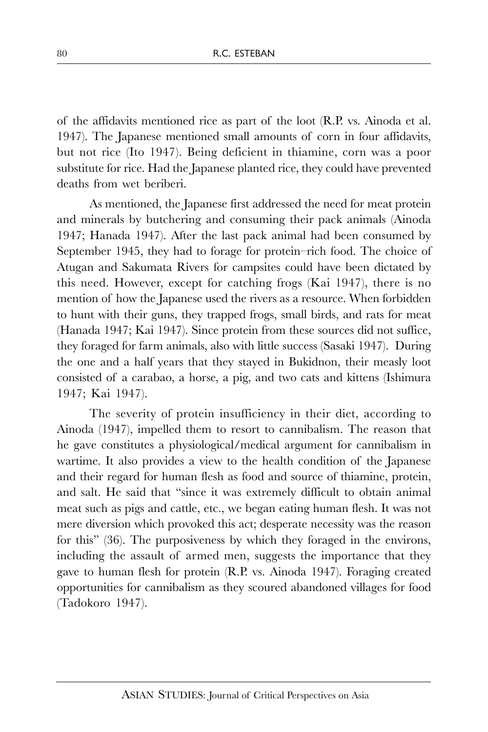of the affidavits mentioned rice as part of the loot (R.P. vs. Ainoda et al. 1947). The Japanese mentioned small amounts of corn in four affidavits, but not rice (Ito 1947). Being deficient in thiamine, corn was a poor substitute for rice. Had the Japanese planted rice, they could have prevented deaths from wet beriberi.

As mentioned, the Japanese first addressed the need for meat protein and minerals by butchering and consuming their pack animals (Ainoda 1947; Hanada 1947). After the last pack animal had been consumed by September 1945, they had to forage for protein–rich food. The choice of Atugan and Sakumata Rivers for campsites could have been dictated by this need. However, except for catching frogs (Kai 1947), there is no mention of how the Japanese used the rivers as a resource. When forbidden to hunt with their guns, they trapped frogs, small birds, and rats for meat (Hanada 1947; Kai 1947). Since protein from these sources did not suffice, they foraged for farm animals, also with little success (Sasaki 1947). During the one and a half years that they stayed in Bukidnon, their measly loot consisted of a carabao, a horse, a pig, and two cats and kittens (Ishimura 1947; Kai 1947).

The severity of protein insufficiency in their diet, according to Ainoda (1947), impelled them to resort to cannibalism. The reason that he gave constitutes a physiological/medical argument for cannibalism in wartime. It also provides a view to the health condition of the Japanese and their regard for human flesh as food and source of thiamine, protein, and salt. He said that "since it was extremely difficult to obtain animal meat such as pigs and cattle, etc., we began eating human flesh. It was not mere diversion which provoked this act; desperate necessity was the reason for this" (36). The purposiveness by which they foraged in the environs, including the assault of armed men, suggests the importance that they gave to human flesh for protein (R.P. vs. Ainoda 1947). Foraging created opportunities for cannibalism as they scoured abandoned villages for food (Tadokoro 1947).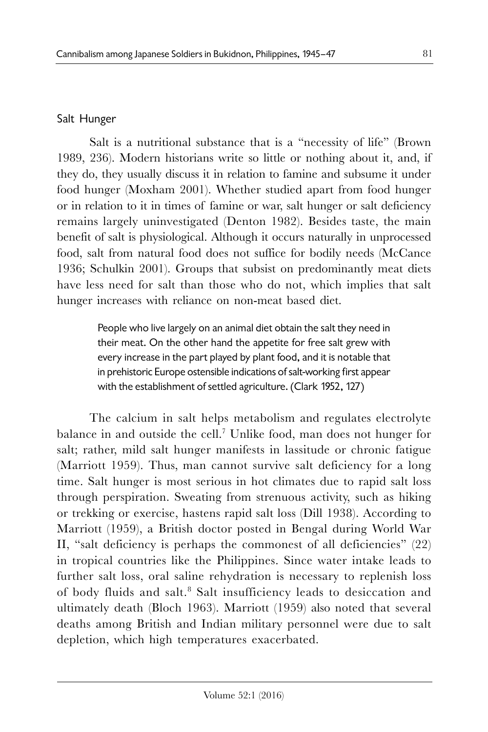## Salt Hunger

Salt is a nutritional substance that is a "necessity of life" (Brown 1989, 236). Modern historians write so little or nothing about it, and, if they do, they usually discuss it in relation to famine and subsume it under food hunger (Moxham 2001). Whether studied apart from food hunger or in relation to it in times of famine or war, salt hunger or salt deficiency remains largely uninvestigated (Denton 1982). Besides taste, the main benefit of salt is physiological. Although it occurs naturally in unprocessed food, salt from natural food does not suffice for bodily needs (McCance 1936; Schulkin 2001). Groups that subsist on predominantly meat diets have less need for salt than those who do not, which implies that salt hunger increases with reliance on non-meat based diet.

> People who live largely on an animal diet obtain the salt they need in their meat. On the other hand the appetite for free salt grew with every increase in the part played by plant food, and it is notable that in prehistoric Europe ostensible indications of salt-working first appear with the establishment of settled agriculture. (Clark 1952, 127)

The calcium in salt helps metabolism and regulates electrolyte balance in and outside the cell.<sup>7</sup> Unlike food, man does not hunger for salt; rather, mild salt hunger manifests in lassitude or chronic fatigue (Marriott 1959). Thus, man cannot survive salt deficiency for a long time. Salt hunger is most serious in hot climates due to rapid salt loss through perspiration. Sweating from strenuous activity, such as hiking or trekking or exercise, hastens rapid salt loss (Dill 1938). According to Marriott (1959), a British doctor posted in Bengal during World War II, "salt deficiency is perhaps the commonest of all deficiencies" (22) in tropical countries like the Philippines. Since water intake leads to further salt loss, oral saline rehydration is necessary to replenish loss of body fluids and salt.<sup>8</sup> Salt insufficiency leads to desiccation and ultimately death (Bloch 1963). Marriott (1959) also noted that several deaths among British and Indian military personnel were due to salt depletion, which high temperatures exacerbated.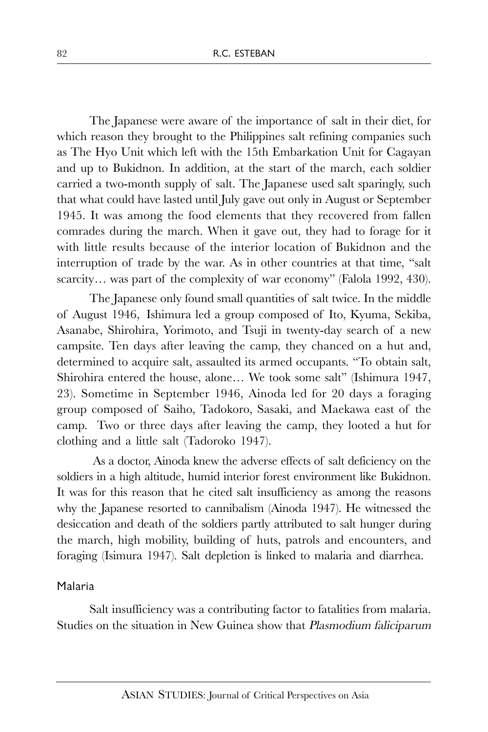The Japanese were aware of the importance of salt in their diet, for which reason they brought to the Philippines salt refining companies such as The Hyo Unit which left with the 15th Embarkation Unit for Cagayan and up to Bukidnon. In addition, at the start of the march, each soldier carried a two-month supply of salt. The Japanese used salt sparingly, such that what could have lasted until July gave out only in August or September 1945. It was among the food elements that they recovered from fallen comrades during the march. When it gave out, they had to forage for it with little results because of the interior location of Bukidnon and the interruption of trade by the war. As in other countries at that time, "salt scarcity... was part of the complexity of war economy" (Falola 1992, 430).

The Japanese only found small quantities of salt twice. In the middle of August 1946, Ishimura led a group composed of Ito, Kyuma, Sekiba, Asanabe, Shirohira, Yorimoto, and Tsuji in twenty-day search of a new campsite. Ten days after leaving the camp, they chanced on a hut and, determined to acquire salt, assaulted its armed occupants. "To obtain salt, Shirohira entered the house, alone… We took some salt" (Ishimura 1947, 23). Sometime in September 1946, Ainoda led for 20 days a foraging group composed of Saiho, Tadokoro, Sasaki, and Maekawa east of the camp. Two or three days after leaving the camp, they looted a hut for clothing and a little salt (Tadoroko 1947).

As a doctor, Ainoda knew the adverse effects of salt deficiency on the soldiers in a high altitude, humid interior forest environment like Bukidnon. It was for this reason that he cited salt insufficiency as among the reasons why the Japanese resorted to cannibalism (Ainoda 1947). He witnessed the desiccation and death of the soldiers partly attributed to salt hunger during the march, high mobility, building of huts, patrols and encounters, and foraging (Isimura 1947). Salt depletion is linked to malaria and diarrhea.

### Malaria

Salt insufficiency was a contributing factor to fatalities from malaria. Studies on the situation in New Guinea show that Plasmodium faliciparum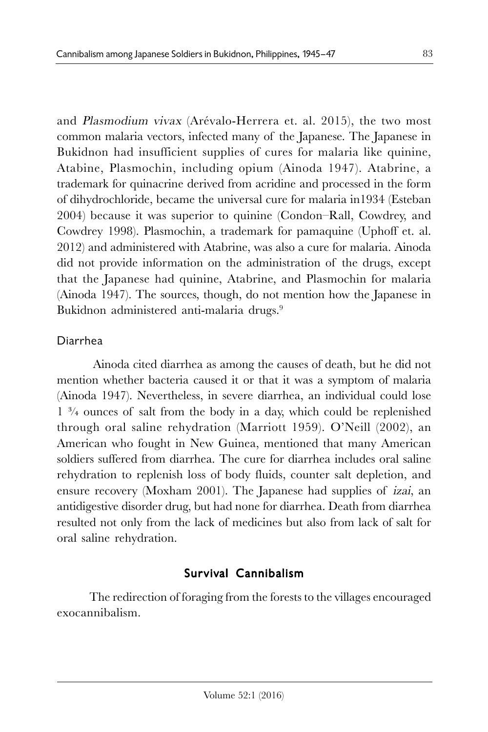and Plasmodium vivax (Arévalo-Herrera et. al. 2015), the two most common malaria vectors, infected many of the Japanese. The Japanese in Bukidnon had insufficient supplies of cures for malaria like quinine, Atabine, Plasmochin, including opium (Ainoda 1947). Atabrine, a trademark for quinacrine derived from acridine and processed in the form of dihydrochloride, became the universal cure for malaria in1934 (Esteban 2004) because it was superior to quinine (Condon–Rall, Cowdrey, and Cowdrey 1998). Plasmochin, a trademark for pamaquine (Uphoff et. al. 2012) and administered with Atabrine, was also a cure for malaria. Ainoda did not provide information on the administration of the drugs, except that the Japanese had quinine, Atabrine, and Plasmochin for malaria (Ainoda 1947). The sources, though, do not mention how the Japanese in Bukidnon administered anti-malaria drugs.<sup>9</sup>

### Diarrhea

 Ainoda cited diarrhea as among the causes of death, but he did not mention whether bacteria caused it or that it was a symptom of malaria (Ainoda 1947). Nevertheless, in severe diarrhea, an individual could lose 1 ¾ ounces of salt from the body in a day, which could be replenished through oral saline rehydration (Marriott 1959). O'Neill (2002), an American who fought in New Guinea, mentioned that many American soldiers suffered from diarrhea. The cure for diarrhea includes oral saline rehydration to replenish loss of body fluids, counter salt depletion, and ensure recovery (Moxham 2001). The Japanese had supplies of izai, an antidigestive disorder drug, but had none for diarrhea. Death from diarrhea resulted not only from the lack of medicines but also from lack of salt for oral saline rehydration.

# Survival Cannibalism

The redirection of foraging from the forests to the villages encouraged exocannibalism.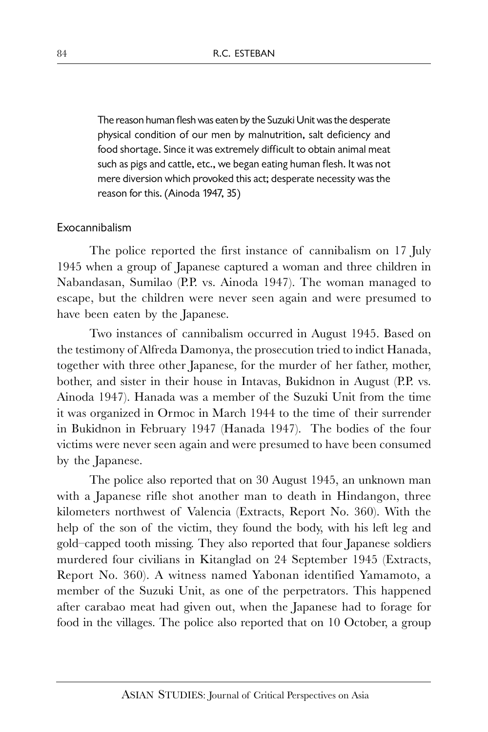The reason human flesh was eaten by the Suzuki Unit was the desperate physical condition of our men by malnutrition, salt deficiency and food shortage. Since it was extremely difficult to obtain animal meat such as pigs and cattle, etc., we began eating human flesh. It was not mere diversion which provoked this act; desperate necessity was the reason for this. (Ainoda 1947, 35)

#### Exocannibalism

The police reported the first instance of cannibalism on 17 July 1945 when a group of Japanese captured a woman and three children in Nabandasan, Sumilao (P.P. vs. Ainoda 1947). The woman managed to escape, but the children were never seen again and were presumed to have been eaten by the Japanese.

Two instances of cannibalism occurred in August 1945. Based on the testimony of Alfreda Damonya, the prosecution tried to indict Hanada, together with three other Japanese, for the murder of her father, mother, bother, and sister in their house in Intavas, Bukidnon in August (P.P. vs. Ainoda 1947). Hanada was a member of the Suzuki Unit from the time it was organized in Ormoc in March 1944 to the time of their surrender in Bukidnon in February 1947 (Hanada 1947). The bodies of the four victims were never seen again and were presumed to have been consumed by the Japanese.

The police also reported that on 30 August 1945, an unknown man with a Japanese rifle shot another man to death in Hindangon, three kilometers northwest of Valencia (Extracts, Report No. 360). With the help of the son of the victim, they found the body, with his left leg and gold–capped tooth missing. They also reported that four Japanese soldiers murdered four civilians in Kitanglad on 24 September 1945 (Extracts, Report No. 360). A witness named Yabonan identified Yamamoto, a member of the Suzuki Unit, as one of the perpetrators. This happened after carabao meat had given out, when the Japanese had to forage for food in the villages. The police also reported that on 10 October, a group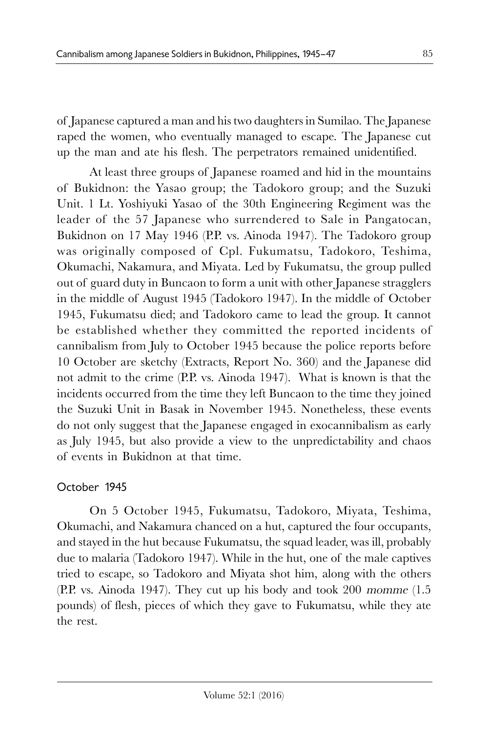of Japanese captured a man and his two daughters in Sumilao. The Japanese raped the women, who eventually managed to escape. The Japanese cut up the man and ate his flesh. The perpetrators remained unidentified.

At least three groups of Japanese roamed and hid in the mountains of Bukidnon: the Yasao group; the Tadokoro group; and the Suzuki Unit. 1 Lt. Yoshiyuki Yasao of the 30th Engineering Regiment was the leader of the 57 Japanese who surrendered to Sale in Pangatocan, Bukidnon on 17 May 1946 (P.P. vs. Ainoda 1947). The Tadokoro group was originally composed of Cpl. Fukumatsu, Tadokoro, Teshima, Okumachi, Nakamura, and Miyata. Led by Fukumatsu, the group pulled out of guard duty in Buncaon to form a unit with other Japanese stragglers in the middle of August 1945 (Tadokoro 1947). In the middle of October 1945, Fukumatsu died; and Tadokoro came to lead the group. It cannot be established whether they committed the reported incidents of cannibalism from July to October 1945 because the police reports before 10 October are sketchy (Extracts, Report No. 360) and the Japanese did not admit to the crime (P.P. vs. Ainoda 1947). What is known is that the incidents occurred from the time they left Buncaon to the time they joined the Suzuki Unit in Basak in November 1945. Nonetheless, these events do not only suggest that the Japanese engaged in exocannibalism as early as July 1945, but also provide a view to the unpredictability and chaos of events in Bukidnon at that time.

# October 1945

On 5 October 1945, Fukumatsu, Tadokoro, Miyata, Teshima, Okumachi, and Nakamura chanced on a hut, captured the four occupants, and stayed in the hut because Fukumatsu, the squad leader, was ill, probably due to malaria (Tadokoro 1947). While in the hut, one of the male captives tried to escape, so Tadokoro and Miyata shot him, along with the others (P.P. vs. Ainoda 1947). They cut up his body and took 200 momme (1.5 pounds) of flesh, pieces of which they gave to Fukumatsu, while they ate the rest.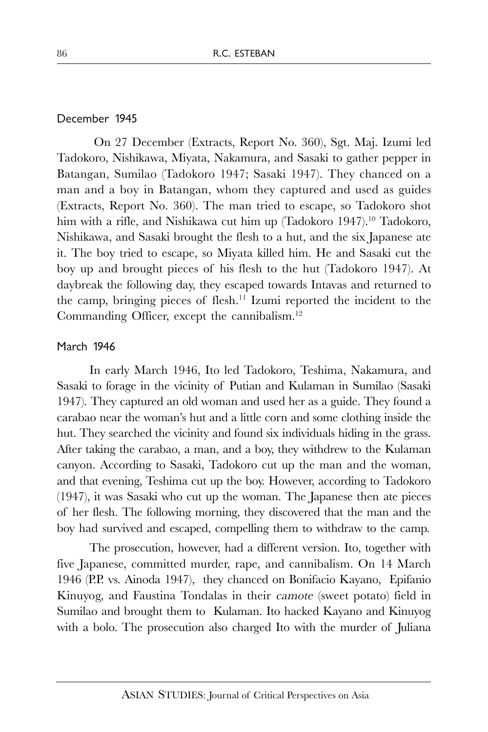#### December 1945

 On 27 December (Extracts, Report No. 360), Sgt. Maj. Izumi led Tadokoro, Nishikawa, Miyata, Nakamura, and Sasaki to gather pepper in Batangan, Sumilao (Tadokoro 1947; Sasaki 1947). They chanced on a man and a boy in Batangan, whom they captured and used as guides (Extracts, Report No. 360). The man tried to escape, so Tadokoro shot him with a rifle, and Nishikawa cut him up (Tadokoro 1947).<sup>10</sup> Tadokoro, Nishikawa, and Sasaki brought the flesh to a hut, and the six Japanese ate it. The boy tried to escape, so Miyata killed him. He and Sasaki cut the boy up and brought pieces of his flesh to the hut (Tadokoro 1947). At daybreak the following day, they escaped towards Intavas and returned to the camp, bringing pieces of flesh.<sup>11</sup> Izumi reported the incident to the Commanding Officer, except the cannibalism.<sup>12</sup>

#### March 1946

In early March 1946, Ito led Tadokoro, Teshima, Nakamura, and Sasaki to forage in the vicinity of Putian and Kulaman in Sumilao (Sasaki 1947). They captured an old woman and used her as a guide. They found a carabao near the woman's hut and a little corn and some clothing inside the hut. They searched the vicinity and found six individuals hiding in the grass. After taking the carabao, a man, and a boy, they withdrew to the Kulaman canyon. According to Sasaki, Tadokoro cut up the man and the woman, and that evening, Teshima cut up the boy. However, according to Tadokoro (1947), it was Sasaki who cut up the woman. The Japanese then ate pieces of her flesh. The following morning, they discovered that the man and the boy had survived and escaped, compelling them to withdraw to the camp.

The prosecution, however, had a different version. Ito, together with five Japanese, committed murder, rape, and cannibalism. On 14 March 1946 (P.P. vs. Ainoda 1947), they chanced on Bonifacio Kayano, Epifanio Kinuyog, and Faustina Tondalas in their camote (sweet potato) field in Sumilao and brought them to Kulaman. Ito hacked Kayano and Kinuyog with a bolo. The prosecution also charged Ito with the murder of Juliana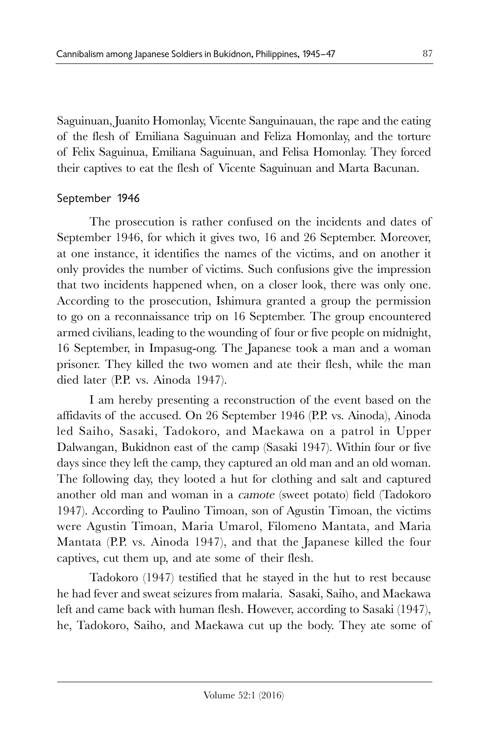Saguinuan, Juanito Homonlay, Vicente Sanguinauan, the rape and the eating of the flesh of Emiliana Saguinuan and Feliza Homonlay, and the torture of Felix Saguinua, Emiliana Saguinuan, and Felisa Homonlay. They forced their captives to eat the flesh of Vicente Saguinuan and Marta Bacunan.

## September 1946

The prosecution is rather confused on the incidents and dates of September 1946, for which it gives two, 16 and 26 September. Moreover, at one instance, it identifies the names of the victims, and on another it only provides the number of victims. Such confusions give the impression that two incidents happened when, on a closer look, there was only one. According to the prosecution, Ishimura granted a group the permission to go on a reconnaissance trip on 16 September. The group encountered armed civilians, leading to the wounding of four or five people on midnight, 16 September, in Impasug-ong. The Japanese took a man and a woman prisoner. They killed the two women and ate their flesh, while the man died later (P.P. vs. Ainoda 1947).

I am hereby presenting a reconstruction of the event based on the affidavits of the accused. On 26 September 1946 (P.P. vs. Ainoda), Ainoda led Saiho, Sasaki, Tadokoro, and Maekawa on a patrol in Upper Dalwangan, Bukidnon east of the camp (Sasaki 1947). Within four or five days since they left the camp, they captured an old man and an old woman. The following day, they looted a hut for clothing and salt and captured another old man and woman in a camote (sweet potato) field (Tadokoro 1947). According to Paulino Timoan, son of Agustin Timoan, the victims were Agustin Timoan, Maria Umarol, Filomeno Mantata, and Maria Mantata (P.P. vs. Ainoda 1947), and that the Japanese killed the four captives, cut them up, and ate some of their flesh.

Tadokoro (1947) testified that he stayed in the hut to rest because he had fever and sweat seizures from malaria. Sasaki, Saiho, and Maekawa left and came back with human flesh. However, according to Sasaki (1947), he, Tadokoro, Saiho, and Maekawa cut up the body. They ate some of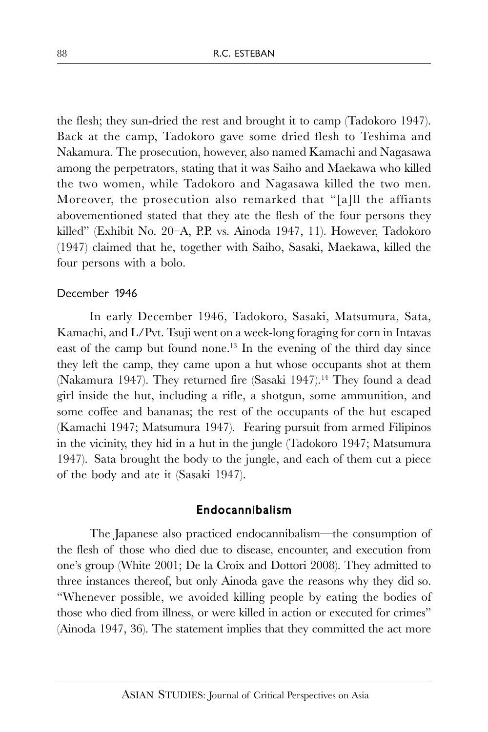the flesh; they sun-dried the rest and brought it to camp (Tadokoro 1947). Back at the camp, Tadokoro gave some dried flesh to Teshima and Nakamura. The prosecution, however, also named Kamachi and Nagasawa among the perpetrators, stating that it was Saiho and Maekawa who killed the two women, while Tadokoro and Nagasawa killed the two men. Moreover, the prosecution also remarked that "[a]ll the affiants abovementioned stated that they ate the flesh of the four persons they killed" (Exhibit No. 20–A, P.P. vs. Ainoda 1947, 11). However, Tadokoro (1947) claimed that he, together with Saiho, Sasaki, Maekawa, killed the four persons with a bolo.

#### December 1946

In early December 1946, Tadokoro, Sasaki, Matsumura, Sata, Kamachi, and L/Pvt. Tsuji went on a week-long foraging for corn in Intavas east of the camp but found none.<sup>13</sup> In the evening of the third day since they left the camp, they came upon a hut whose occupants shot at them (Nakamura 1947). They returned fire (Sasaki 1947).<sup>14</sup> They found a dead girl inside the hut, including a rifle, a shotgun, some ammunition, and some coffee and bananas; the rest of the occupants of the hut escaped (Kamachi 1947; Matsumura 1947). Fearing pursuit from armed Filipinos in the vicinity, they hid in a hut in the jungle (Tadokoro 1947; Matsumura 1947). Sata brought the body to the jungle, and each of them cut a piece of the body and ate it (Sasaki 1947).

### Endocannibalism

The Japanese also practiced endocannibalism—the consumption of the flesh of those who died due to disease, encounter, and execution from one's group (White 2001; De la Croix and Dottori 2008). They admitted to three instances thereof, but only Ainoda gave the reasons why they did so. "Whenever possible, we avoided killing people by eating the bodies of those who died from illness, or were killed in action or executed for crimes" (Ainoda 1947, 36). The statement implies that they committed the act more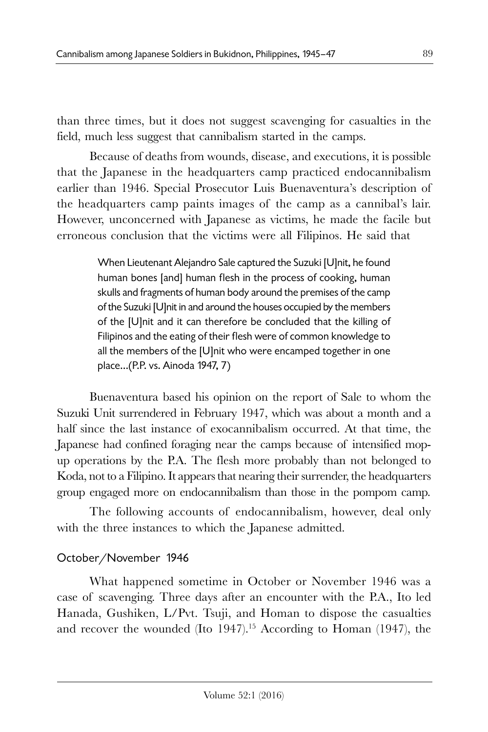than three times, but it does not suggest scavenging for casualties in the field, much less suggest that cannibalism started in the camps.

Because of deaths from wounds, disease, and executions, it is possible that the Japanese in the headquarters camp practiced endocannibalism earlier than 1946. Special Prosecutor Luis Buenaventura's description of the headquarters camp paints images of the camp as a cannibal's lair. However, unconcerned with Japanese as victims, he made the facile but erroneous conclusion that the victims were all Filipinos. He said that

> When Lieutenant Alejandro Sale captured the Suzuki [U]nit, he found human bones [and] human flesh in the process of cooking, human skulls and fragments of human body around the premises of the camp of the Suzuki [U]nit in and around the houses occupied by the members of the [U]nit and it can therefore be concluded that the killing of Filipinos and the eating of their flesh were of common knowledge to all the members of the [U]nit who were encamped together in one place…(P.P. vs. Ainoda 1947, 7)

Buenaventura based his opinion on the report of Sale to whom the Suzuki Unit surrendered in February 1947, which was about a month and a half since the last instance of exocannibalism occurred. At that time, the Japanese had confined foraging near the camps because of intensified mopup operations by the P.A. The flesh more probably than not belonged to Koda, not to a Filipino. It appears that nearing their surrender, the headquarters group engaged more on endocannibalism than those in the pompom camp.

The following accounts of endocannibalism, however, deal only with the three instances to which the Japanese admitted.

# October/November 1946

What happened sometime in October or November 1946 was a case of scavenging. Three days after an encounter with the P.A., Ito led Hanada, Gushiken, L/Pvt. Tsuji, and Homan to dispose the casualties and recover the wounded (Ito 1947).<sup>15</sup> According to Homan (1947), the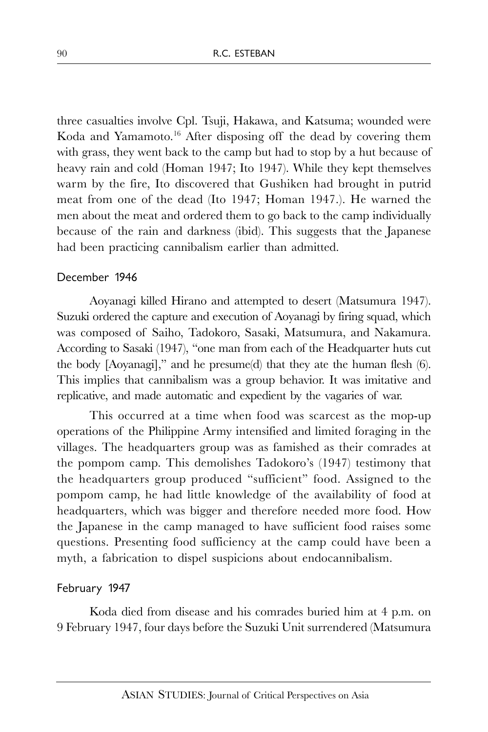three casualties involve Cpl. Tsuji, Hakawa, and Katsuma; wounded were Koda and Yamamoto. <sup>16</sup> After disposing off the dead by covering them with grass, they went back to the camp but had to stop by a hut because of heavy rain and cold (Homan 1947; Ito 1947). While they kept themselves warm by the fire, Ito discovered that Gushiken had brought in putrid meat from one of the dead (Ito 1947; Homan 1947.). He warned the men about the meat and ordered them to go back to the camp individually because of the rain and darkness (ibid). This suggests that the Japanese had been practicing cannibalism earlier than admitted.

### December 1946

Aoyanagi killed Hirano and attempted to desert (Matsumura 1947). Suzuki ordered the capture and execution of Aoyanagi by firing squad, which was composed of Saiho, Tadokoro, Sasaki, Matsumura, and Nakamura. According to Sasaki (1947), "one man from each of the Headquarter huts cut the body [Aoyanagi]," and he presume(d) that they ate the human flesh (6). This implies that cannibalism was a group behavior. It was imitative and replicative, and made automatic and expedient by the vagaries of war.

This occurred at a time when food was scarcest as the mop-up operations of the Philippine Army intensified and limited foraging in the villages. The headquarters group was as famished as their comrades at the pompom camp. This demolishes Tadokoro's (1947) testimony that the headquarters group produced "sufficient" food. Assigned to the pompom camp, he had little knowledge of the availability of food at headquarters, which was bigger and therefore needed more food. How the Japanese in the camp managed to have sufficient food raises some questions. Presenting food sufficiency at the camp could have been a myth, a fabrication to dispel suspicions about endocannibalism.

#### February 1947

Koda died from disease and his comrades buried him at 4 p.m. on 9 February 1947, four days before the Suzuki Unit surrendered (Matsumura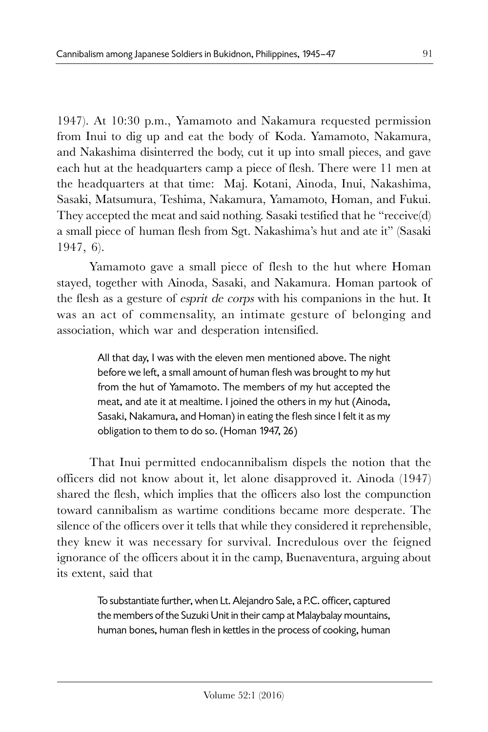1947). At 10:30 p.m., Yamamoto and Nakamura requested permission from Inui to dig up and eat the body of Koda. Yamamoto, Nakamura, and Nakashima disinterred the body, cut it up into small pieces, and gave each hut at the headquarters camp a piece of flesh. There were 11 men at the headquarters at that time: Maj. Kotani, Ainoda, Inui, Nakashima, Sasaki, Matsumura, Teshima, Nakamura, Yamamoto, Homan, and Fukui. They accepted the meat and said nothing. Sasaki testified that he "receive(d) a small piece of human flesh from Sgt. Nakashima's hut and ate it" (Sasaki 1947, 6).

Yamamoto gave a small piece of flesh to the hut where Homan stayed, together with Ainoda, Sasaki, and Nakamura. Homan partook of the flesh as a gesture of esprit de corps with his companions in the hut. It was an act of commensality, an intimate gesture of belonging and association, which war and desperation intensified.

> All that day, I was with the eleven men mentioned above. The night before we left, a small amount of human flesh was brought to my hut from the hut of Yamamoto. The members of my hut accepted the meat, and ate it at mealtime. I joined the others in my hut (Ainoda, Sasaki, Nakamura, and Homan) in eating the flesh since I felt it as my obligation to them to do so. (Homan 1947, 26)

That Inui permitted endocannibalism dispels the notion that the officers did not know about it, let alone disapproved it. Ainoda (1947) shared the flesh, which implies that the officers also lost the compunction toward cannibalism as wartime conditions became more desperate. The silence of the officers over it tells that while they considered it reprehensible, they knew it was necessary for survival. Incredulous over the feigned ignorance of the officers about it in the camp, Buenaventura, arguing about its extent, said that

> To substantiate further, when Lt. Alejandro Sale, a P.C. officer, captured the members of the Suzuki Unit in their camp at Malaybalay mountains, human bones, human flesh in kettles in the process of cooking, human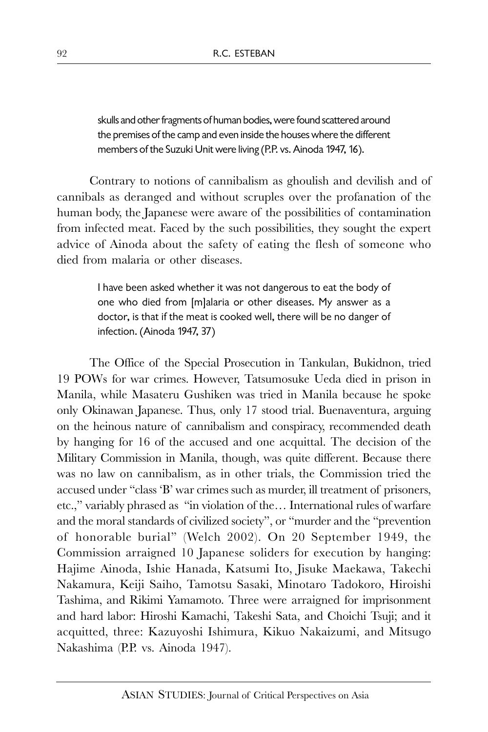skulls and other fragments of human bodies, were found scattered around the premises of the camp and even inside the houses where the different members of the Suzuki Unit were living (P.P. vs. Ainoda 1947, 16).

Contrary to notions of cannibalism as ghoulish and devilish and of cannibals as deranged and without scruples over the profanation of the human body, the Japanese were aware of the possibilities of contamination from infected meat. Faced by the such possibilities, they sought the expert advice of Ainoda about the safety of eating the flesh of someone who died from malaria or other diseases.

> I have been asked whether it was not dangerous to eat the body of one who died from [m]alaria or other diseases. My answer as a doctor, is that if the meat is cooked well, there will be no danger of infection. (Ainoda 1947, 37)

The Office of the Special Prosecution in Tankulan, Bukidnon, tried 19 POWs for war crimes. However, Tatsumosuke Ueda died in prison in Manila, while Masateru Gushiken was tried in Manila because he spoke only Okinawan Japanese. Thus, only 17 stood trial. Buenaventura, arguing on the heinous nature of cannibalism and conspiracy, recommended death by hanging for 16 of the accused and one acquittal. The decision of the Military Commission in Manila, though, was quite different. Because there was no law on cannibalism, as in other trials, the Commission tried the accused under "class 'B' war crimes such as murder, ill treatment of prisoners, etc.," variably phrased as "in violation of the… International rules of warfare and the moral standards of civilized society", or "murder and the "prevention of honorable burial" (Welch 2002). On 20 September 1949, the Commission arraigned 10 Japanese soliders for execution by hanging: Hajime Ainoda, Ishie Hanada, Katsumi Ito, Jisuke Maekawa, Takechi Nakamura, Keiji Saiho, Tamotsu Sasaki, Minotaro Tadokoro, Hiroishi Tashima, and Rikimi Yamamoto. Three were arraigned for imprisonment and hard labor: Hiroshi Kamachi, Takeshi Sata, and Choichi Tsuji; and it acquitted, three: Kazuyoshi Ishimura, Kikuo Nakaizumi, and Mitsugo Nakashima (P.P. vs. Ainoda 1947).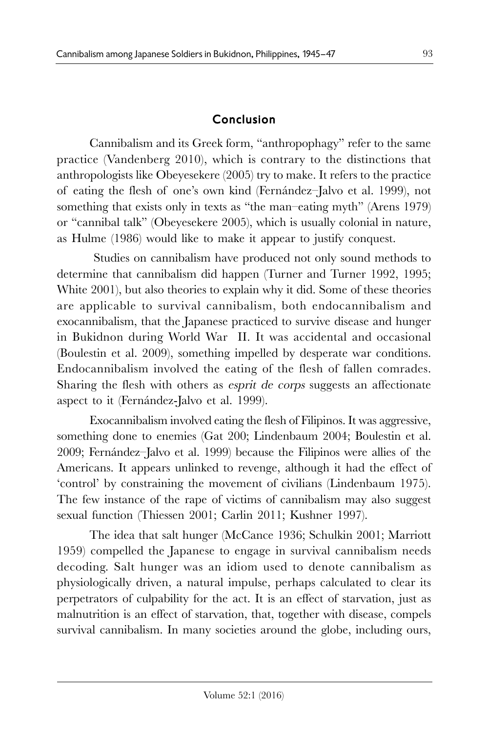## Conclusion

Cannibalism and its Greek form, "anthropophagy" refer to the same practice (Vandenberg 2010), which is contrary to the distinctions that anthropologists like Obeyesekere (2005) try to make. It refers to the practice of eating the flesh of one's own kind (Fernández–Jalvo et al. 1999), not something that exists only in texts as "the man–eating myth" (Arens 1979) or "cannibal talk" (Obeyesekere 2005), which is usually colonial in nature, as Hulme (1986) would like to make it appear to justify conquest.

 Studies on cannibalism have produced not only sound methods to determine that cannibalism did happen (Turner and Turner 1992, 1995; White 2001), but also theories to explain why it did. Some of these theories are applicable to survival cannibalism, both endocannibalism and exocannibalism, that the Japanese practiced to survive disease and hunger in Bukidnon during World War II. It was accidental and occasional (Boulestin et al. 2009), something impelled by desperate war conditions. Endocannibalism involved the eating of the flesh of fallen comrades. Sharing the flesh with others as esprit de corps suggests an affectionate aspect to it (Fernández-Jalvo et al. 1999).

Exocannibalism involved eating the flesh of Filipinos. It was aggressive, something done to enemies (Gat 200; Lindenbaum 2004; Boulestin et al. 2009; Fernández–Jalvo et al. 1999) because the Filipinos were allies of the Americans. It appears unlinked to revenge, although it had the effect of 'control' by constraining the movement of civilians (Lindenbaum 1975). The few instance of the rape of victims of cannibalism may also suggest sexual function (Thiessen 2001; Carlin 2011; Kushner 1997).

The idea that salt hunger (McCance 1936; Schulkin 2001; Marriott 1959) compelled the Japanese to engage in survival cannibalism needs decoding. Salt hunger was an idiom used to denote cannibalism as physiologically driven, a natural impulse, perhaps calculated to clear its perpetrators of culpability for the act. It is an effect of starvation, just as malnutrition is an effect of starvation, that, together with disease, compels survival cannibalism. In many societies around the globe, including ours,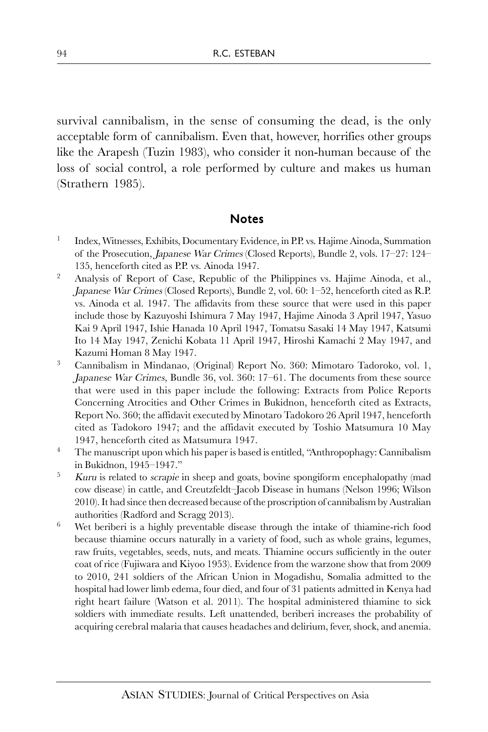survival cannibalism, in the sense of consuming the dead, is the only acceptable form of cannibalism. Even that, however, horrifies other groups like the Arapesh (Tuzin 1983), who consider it non-human because of the loss of social control, a role performed by culture and makes us human (Strathern 1985).

### Notes

- 1 Index, Witnesses, Exhibits, Documentary Evidence, in P.P. vs. Hajime Ainoda, Summation of the Prosecution, Japanese War Crimes (Closed Reports), Bundle 2, vols. 17–27: 124– 135, henceforth cited as P.P. vs. Ainoda 1947.
- <sup>2</sup> Analysis of Report of Case, Republic of the Philippines vs. Hajime Ainoda, et al., Japanese War Crimes (Closed Reports), Bundle 2, vol. 60: 1–52, henceforth cited as R.P. vs. Ainoda et al. 1947. The affidavits from these source that were used in this paper include those by Kazuyoshi Ishimura 7 May 1947, Hajime Ainoda 3 April 1947, Yasuo Kai 9 April 1947, Ishie Hanada 10 April 1947, Tomatsu Sasaki 14 May 1947, Katsumi Ito 14 May 1947, Zenichi Kobata 11 April 1947, Hiroshi Kamachi 2 May 1947, and Kazumi Homan 8 May 1947.
- <sup>3</sup> Cannibalism in Mindanao, (Original) Report No. 360: Mimotaro Tadoroko, vol. 1, Japanese War Crimes, Bundle 36, vol. 360: 17–61. The documents from these source that were used in this paper include the following: Extracts from Police Reports Concerning Atrocities and Other Crimes in Bukidnon, henceforth cited as Extracts, Report No. 360; the affidavit executed by Minotaro Tadokoro 26 April 1947, henceforth cited as Tadokoro 1947; and the affidavit executed by Toshio Matsumura 10 May 1947, henceforth cited as Matsumura 1947.
- <sup>4</sup> The manuscript upon which his paper is based is entitled, "Anthropophagy: Cannibalism" in Bukidnon, 1945–1947."
- <sup>5</sup> Kuru is related to *scrapie* in sheep and goats, bovine spongiform encephalopathy (mad cow disease) in cattle, and Creutzfeldt–Jacob Disease in humans (Nelson 1996; Wilson 2010). It had since then decreased because of the proscription of cannibalism by Australian authorities (Radford and Scragg 2013).
- Wet beriberi is a highly preventable disease through the intake of thiamine-rich food because thiamine occurs naturally in a variety of food, such as whole grains, legumes, raw fruits, vegetables, seeds, nuts, and meats. Thiamine occurs sufficiently in the outer coat of rice (Fujiwara and Kiyoo 1953). Evidence from the warzone show that from 2009 to 2010, 241 soldiers of the African Union in Mogadishu, Somalia admitted to the hospital had lower limb edema, four died, and four of 31 patients admitted in Kenya had right heart failure (Watson et al. 2011). The hospital administered thiamine to sick soldiers with immediate results. Left unattended, beriberi increases the probability of acquiring cerebral malaria that causes headaches and delirium, fever, shock, and anemia.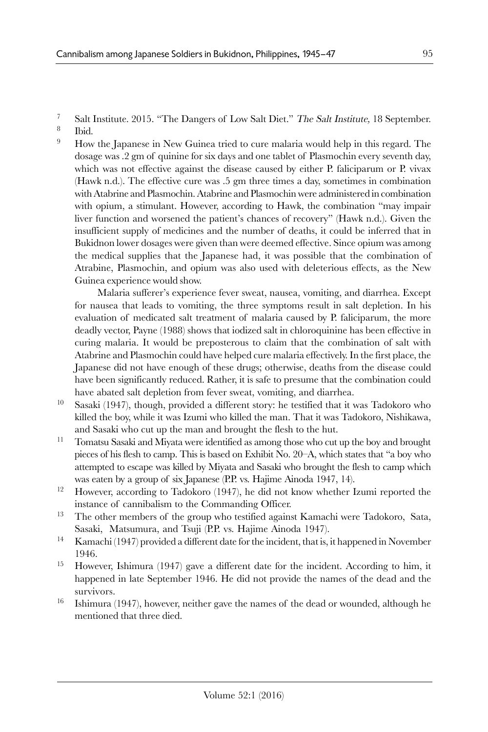- <sup>7</sup> Salt Institute. 2015. "The Dangers of Low Salt Diet." The Salt Institute, 18 September.
- 8 Ibid.
- <sup>9</sup> How the Japanese in New Guinea tried to cure malaria would help in this regard. The dosage was .2 gm of quinine for six days and one tablet of Plasmochin every seventh day, which was not effective against the disease caused by either P. faliciparum or P. vivax (Hawk n.d.). The effective cure was .5 gm three times a day, sometimes in combination with Atabrine and Plasmochin. Atabrine and Plasmochin were administered in combination with opium, a stimulant. However, according to Hawk, the combination "may impair liver function and worsened the patient's chances of recovery" (Hawk n.d.). Given the insufficient supply of medicines and the number of deaths, it could be inferred that in Bukidnon lower dosages were given than were deemed effective. Since opium was among the medical supplies that the Japanese had, it was possible that the combination of Atrabine, Plasmochin, and opium was also used with deleterious effects, as the New Guinea experience would show.

Malaria sufferer's experience fever sweat, nausea, vomiting, and diarrhea. Except for nausea that leads to vomiting, the three symptoms result in salt depletion. In his evaluation of medicated salt treatment of malaria caused by P. faliciparum, the more deadly vector, Payne (1988) shows that iodized salt in chloroquinine has been effective in curing malaria. It would be preposterous to claim that the combination of salt with Atabrine and Plasmochin could have helped cure malaria effectively. In the first place, the Japanese did not have enough of these drugs; otherwise, deaths from the disease could have been significantly reduced. Rather, it is safe to presume that the combination could have abated salt depletion from fever sweat, vomiting, and diarrhea.

- Sasaki (1947), though, provided a different story: he testified that it was Tadokoro who killed the boy, while it was Izumi who killed the man. That it was Tadokoro, Nishikawa, and Sasaki who cut up the man and brought the flesh to the hut.
- <sup>11</sup> Tomatsu Sasaki and Miyata were identified as among those who cut up the boy and brought pieces of his flesh to camp. This is based on Exhibit No. 20–A, which states that "a boy who attempted to escape was killed by Miyata and Sasaki who brought the flesh to camp which was eaten by a group of six Japanese (P.P. vs. Hajime Ainoda 1947, 14).
- <sup>12</sup> However, according to Tadokoro (1947), he did not know whether Izumi reported the instance of cannibalism to the Commanding Officer.
- <sup>13</sup> The other members of the group who testified against Kamachi were Tadokoro, Sata, Sasaki, Matsumura, and Tsuji (P.P. vs. Hajime Ainoda 1947).
- <sup>14</sup> Kamachi (1947) provided a different date for the incident, that is, it happened in November 1946.
- <sup>15</sup> However, Ishimura (1947) gave a different date for the incident. According to him, it happened in late September 1946. He did not provide the names of the dead and the survivors.
- <sup>16</sup> Ishimura (1947), however, neither gave the names of the dead or wounded, although he mentioned that three died.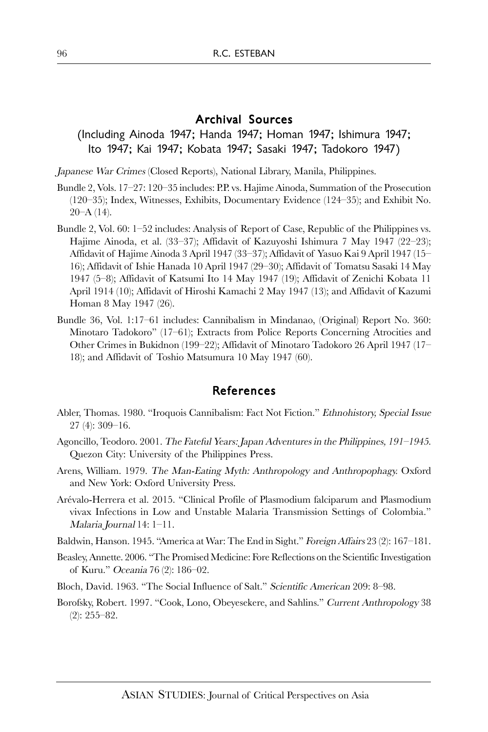#### Archival Sources

### (Including Ainoda 1947; Handa 1947; Homan 1947; Ishimura 1947; Ito 1947; Kai 1947; Kobata 1947; Sasaki 1947; Tadokoro 1947)

Japanese War Crimes (Closed Reports), National Library, Manila, Philippines.

- Bundle 2, Vols. 17–27: 120–35 includes: P.P. vs. Hajime Ainoda, Summation of the Prosecution (120–35); Index, Witnesses, Exhibits, Documentary Evidence (124–35); and Exhibit No.  $20–A(14)$ .
- Bundle 2, Vol. 60: 1–52 includes: Analysis of Report of Case, Republic of the Philippines vs. Hajime Ainoda, et al. (33–37); Affidavit of Kazuyoshi Ishimura 7 May 1947 (22–23); Affidavit of Hajime Ainoda 3 April 1947 (33–37); Affidavit of Yasuo Kai 9 April 1947 (15– 16); Affidavit of Ishie Hanada 10 April 1947 (29–30); Affidavit of Tomatsu Sasaki 14 May 1947 (5–8); Affidavit of Katsumi Ito 14 May 1947 (19); Affidavit of Zenichi Kobata 11 April 1914 (10); Affidavit of Hiroshi Kamachi 2 May 1947 (13); and Affidavit of Kazumi Homan 8 May 1947 (26).
- Bundle 36, Vol. 1:17–61 includes: Cannibalism in Mindanao, (Original) Report No. 360: Minotaro Tadokoro" (17–61); Extracts from Police Reports Concerning Atrocities and Other Crimes in Bukidnon (199–22); Affidavit of Minotaro Tadokoro 26 April 1947 (17– 18); and Affidavit of Toshio Matsumura 10 May 1947 (60).

#### References

- Abler, Thomas. 1980. "Iroquois Cannibalism: Fact Not Fiction." Ethnohistory, Special Issue 27 (4): 309–16.
- Agoncillo, Teodoro. 2001. The Fateful Years: Japan Adventures in the Philippines, 191–1945. Quezon City: University of the Philippines Press.
- Arens, William. 1979. The Man-Eating Myth: Anthropology and Anthropophagy. Oxford and New York: Oxford University Press.
- Arévalo-Herrera et al. 2015. "Clinical Profile of Plasmodium falciparum and Plasmodium vivax Infections in Low and Unstable Malaria Transmission Settings of Colombia." Malaria Journal 14: 1–11.
- Baldwin, Hanson. 1945. "America at War: The End in Sight." Foreign Affairs 23 (2): 167–181.
- Beasley, Annette. 2006. "The Promised Medicine: Fore Reflections on the Scientific Investigation of Kuru." Oceania 76 (2): 186–02.
- Bloch, David. 1963. "The Social Influence of Salt." Scientific American 209: 8–98.
- Borofsky, Robert. 1997. "Cook, Lono, Obeyesekere, and Sahlins." Current Anthropology 38 (2): 255–82.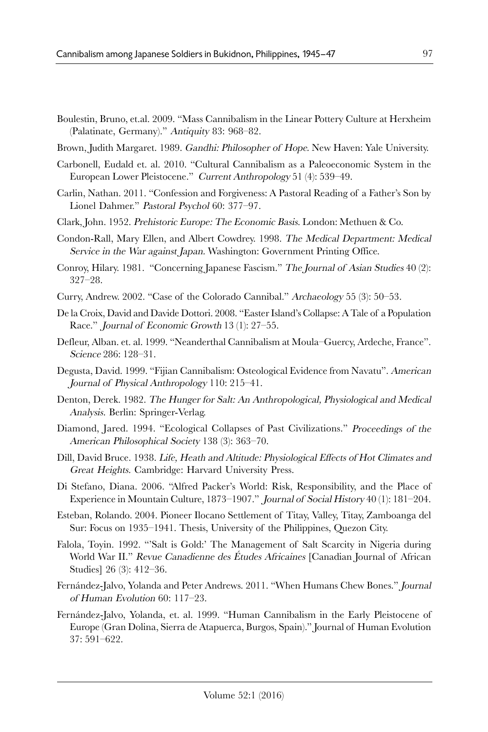- Boulestin, Bruno, et.al. 2009. "Mass Cannibalism in the Linear Pottery Culture at Herxheim (Palatinate, Germany)." Antiquity 83: 968–82.
- Brown, Judith Margaret. 1989. Gandhi: Philosopher of Hope. New Haven: Yale University.
- Carbonell, Eudald et. al. 2010. "Cultural Cannibalism as a Paleoeconomic System in the European Lower Pleistocene." Current Anthropology 51 (4): 539–49.
- Carlin, Nathan. 2011. "Confession and Forgiveness: A Pastoral Reading of a Father's Son by Lionel Dahmer." Pastoral Psychol 60: 377–97.
- Clark, John. 1952. Prehistoric Europe: The Economic Basis. London: Methuen & Co.
- Condon-Rall, Mary Ellen, and Albert Cowdrey. 1998. The Medical Department: Medical Service in the War against Japan. Washington: Government Printing Office.
- Conroy, Hilary. 1981. "Concerning Japanese Fascism." The Journal of Asian Studies 40 (2): 327–28.
- Curry, Andrew. 2002. "Case of the Colorado Cannibal." Archaeology 55 (3): 50–53.
- De la Croix, David and Davide Dottori. 2008. "Easter Island's Collapse: A Tale of a Population Race." Journal of Economic Growth 13 (1): 27–55.
- Defleur, Alban. et. al. 1999. "Neanderthal Cannibalism at Moula–Guercy, Ardeche, France". Science 286: 128–31.
- Degusta, David. 1999. "Fijian Cannibalism: Osteological Evidence from Navatu". American Journal of Physical Anthropology 110: 215–41.
- Denton, Derek. 1982. The Hunger for Salt: An Anthropological, Physiological and Medical Analysis. Berlin: Springer-Verlag.
- Diamond, Jared. 1994. "Ecological Collapses of Past Civilizations." Proceedings of the American Philosophical Society 138 (3): 363–70.
- Dill, David Bruce. 1938. Life, Heath and Altitude: Physiological Effects of Hot Climates and Great Heights. Cambridge: Harvard University Press.
- Di Stefano, Diana. 2006. "Alfred Packer's World: Risk, Responsibility, and the Place of Experience in Mountain Culture, 1873–1907." Journal of Social History 40 (1): 181–204.
- Esteban, Rolando. 2004. Pioneer Ilocano Settlement of Titay, Valley, Titay, Zamboanga del Sur: Focus on 1935–1941. Thesis, University of the Philippines, Quezon City.
- Falola, Toyin. 1992. "'Salt is Gold:' The Management of Salt Scarcity in Nigeria during World War II." Revue Canadienne des Études Africaines [Canadian Journal of African Studies] 26 (3): 412–36.
- Fernández-Jalvo, Yolanda and Peter Andrews. 2011. "When Humans Chew Bones." Journal of Human Evolution 60: 117–23.
- Fernández-Jalvo, Yolanda, et. al. 1999. "Human Cannibalism in the Early Pleistocene of Europe (Gran Dolina, Sierra de Atapuerca, Burgos, Spain)." Journal of Human Evolution 37: 591–622.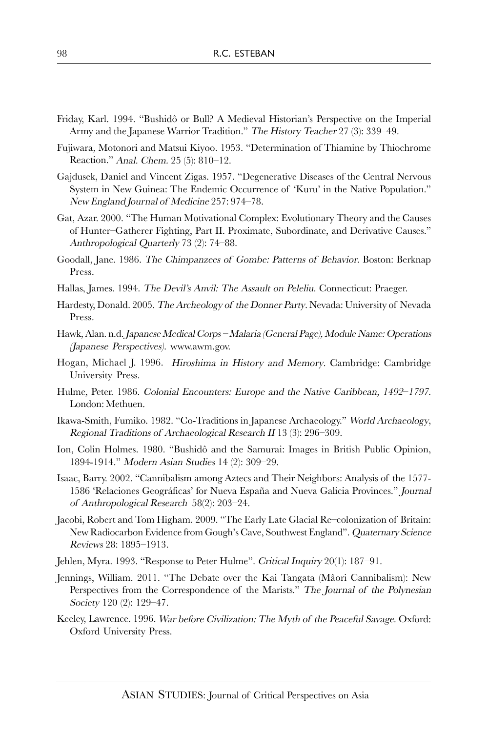- Friday, Karl. 1994. "Bushidô or Bull? A Medieval Historian's Perspective on the Imperial Army and the Japanese Warrior Tradition." The History Teacher 27 (3): 339–49.
- Fujiwara, Motonori and Matsui Kiyoo. 1953. "Determination of Thiamine by Thiochrome Reaction." Anal. Chem. 25 (5): 810–12.
- Gajdusek, Daniel and Vincent Zigas. 1957. "Degenerative Diseases of the Central Nervous System in New Guinea: The Endemic Occurrence of 'Kuru' in the Native Population." New England Journal of Medicine 257: 974–78.
- Gat, Azar. 2000. "The Human Motivational Complex: Evolutionary Theory and the Causes of Hunter–Gatherer Fighting, Part II. Proximate, Subordinate, and Derivative Causes." Anthropological Quarterly 73 (2): 74–88.
- Goodall, Jane. 1986. The Chimpanzees of Gombe: Patterns of Behavior. Boston: Berknap Press.
- Hallas, James. 1994. The Devil's Anvil: The Assault on Peleliu. Connecticut: Praeger.
- Hardesty, Donald. 2005. The Archeology of the Donner Party. Nevada: University of Nevada Press.
- Hawk, Alan. n.d. Japanese Medical Corps Malaria (General Page), Module Name: Operations (Japanese Perspectives). www.awm.gov.
- Hogan, Michael J. 1996. Hiroshima in History and Memory. Cambridge: Cambridge University Press.
- Hulme, Peter. 1986. Colonial Encounters: Europe and the Native Caribbean, 1492–1797. London: Methuen.
- Ikawa-Smith, Fumiko. 1982. "Co-Traditions in Japanese Archaeology." World Archaeology, Regional Traditions of Archaeological Research II 13 (3): 296–309.
- Ion, Colin Holmes. 1980. "Bushidô and the Samurai: Images in British Public Opinion, 1894-1914." Modern Asian Studies 14 (2): 309–29.
- Isaac, Barry. 2002. "Cannibalism among Aztecs and Their Neighbors: Analysis of the 1577- 1586 'Relaciones Geográficas' for Nueva España and Nueva Galicia Provinces." Journal of Anthropological Research 58(2): 203–24.
- Jacobi, Robert and Tom Higham. 2009. "The Early Late Glacial Re–colonization of Britain: New Radiocarbon Evidence from Gough's Cave, Southwest England". Quaternary Science Reviews 28: 1895–1913.
- Jehlen, Myra. 1993. "Response to Peter Hulme". Critical Inquiry 20(1): 187–91.
- Jennings, William. 2011. "The Debate over the Kai Tangata (Mâori Cannibalism): New Perspectives from the Correspondence of the Marists." The Journal of the Polynesian Society 120 (2): 129–47.
- Keeley, Lawrence. 1996. War before Civilization: The Myth of the Peaceful Savage. Oxford: Oxford University Press.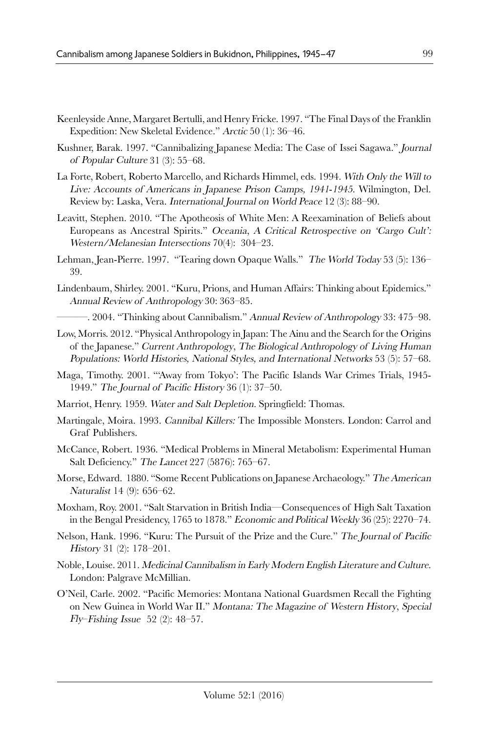- Keenleyside Anne, Margaret Bertulli, and Henry Fricke. 1997. "The Final Days of the Franklin Expedition: New Skeletal Evidence." Arctic 50 (1): 36–46.
- Kushner, Barak. 1997. "Cannibalizing Japanese Media: The Case of Issei Sagawa." Journal of Popular Culture 31 (3): 55–68.
- La Forte, Robert, Roberto Marcello, and Richards Himmel, eds. 1994. With Only the Will to Live: Accounts of Americans in Japanese Prison Camps, 1941-1945. Wilmington, Del. Review by: Laska, Vera. International Journal on World Peace 12 (3): 88–90.
- Leavitt, Stephen. 2010. "The Apotheosis of White Men: A Reexamination of Beliefs about Europeans as Ancestral Spirits." Oceania, A Critical Retrospective on 'Cargo Cult': Western/Melanesian Intersections 70(4): 304–23.
- Lehman, Jean-Pierre. 1997. "Tearing down Opaque Walls." The World Today 53 (5): 136– 39.
- Lindenbaum, Shirley. 2001. "Kuru, Prions, and Human Affairs: Thinking about Epidemics." Annual Review of Anthropology 30: 363–85.
- -. 2004. "Thinking about Cannibalism." Annual Review of Anthropology 33: 475–98.
- Low, Morris. 2012. "Physical Anthropology in Japan: The Ainu and the Search for the Origins of the Japanese." Current Anthropology, The Biological Anthropology of Living Human Populations: World Histories, National Styles, and International Networks 53 (5): 57–68.
- Maga, Timothy. 2001. "'Away from Tokyo': The Pacific Islands War Crimes Trials, 1945- 1949." The Journal of Pacific History 36 (1): 37–50.
- Marriot, Henry. 1959. Water and Salt Depletion. Springfield: Thomas.
- Martingale, Moira. 1993. Cannibal Killers: The Impossible Monsters. London: Carrol and Graf Publishers.
- McCance, Robert. 1936. "Medical Problems in Mineral Metabolism: Experimental Human Salt Deficiency." The Lancet 227 (5876): 765–67.
- Morse, Edward. 1880. "Some Recent Publications on Japanese Archaeology." The American Naturalist 14 (9): 656–62.
- Moxham, Roy. 2001. "Salt Starvation in British India—Consequences of High Salt Taxation in the Bengal Presidency, 1765 to 1878." Economic and Political Weekly 36 (25): 2270–74.
- Nelson, Hank. 1996. "Kuru: The Pursuit of the Prize and the Cure." The Journal of Pacific History 31 (2): 178–201.
- Noble, Louise. 2011. Medicinal Cannibalism in Early Modern English Literature and Culture. London: Palgrave McMillian.
- O'Neil, Carle. 2002. "Pacific Memories: Montana National Guardsmen Recall the Fighting on New Guinea in World War II." Montana: The Magazine of Western History, Special  $Fly$ –Fishing Issue 52 (2): 48–57.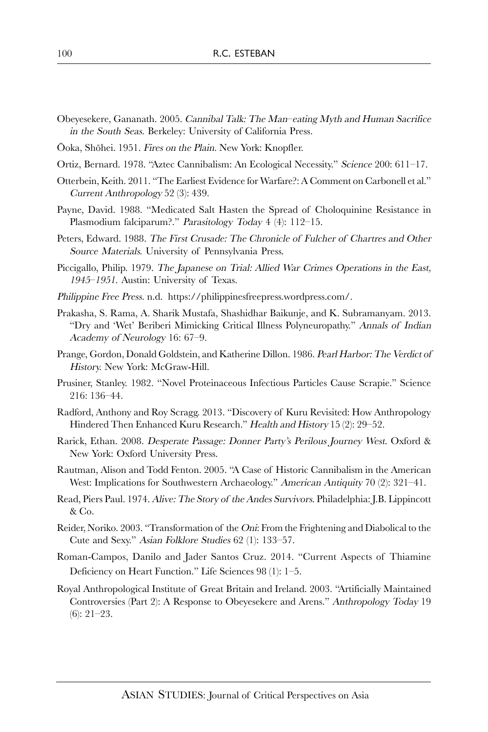- Obeyesekere, Gananath. 2005. Cannibal Talk: The Man–eating Myth and Human Sacrifice in the South Seas. Berkeley: University of California Press.
- Ooka, Shohei. 1951. Fires on the Plain. New York: Knopfler.
- Ortiz, Bernard. 1978. "Aztec Cannibalism: An Ecological Necessity." Science 200: 611–17.
- Otterbein, Keith. 2011. "The Earliest Evidence for Warfare?: A Comment on Carbonell et al." Current Anthropology 52 (3): 439.
- Payne, David. 1988. "Medicated Salt Hasten the Spread of Choloquinine Resistance in Plasmodium falciparum?." Parasitology Today 4 (4): 112-15.
- Peters, Edward. 1988. The First Crusade: The Chronicle of Fulcher of Chartres and Other Source Materials. University of Pennsylvania Press.
- Piccigallo, Philip. 1979. The Japanese on Trial: Allied War Crimes Operations in the East, <sup>1945</sup>–1951. Austin: University of Texas.
- Philippine Free Press. n.d. https://philippinesfreepress.wordpress.com/.
- Prakasha, S. Rama, A. Sharik Mustafa, Shashidhar Baikunje, and K. Subramanyam. 2013. "Dry and 'Wet' Beriberi Mimicking Critical Illness Polyneuropathy." Annals of Indian Academy of Neurology 16: 67–9.
- Prange, Gordon, Donald Goldstein, and Katherine Dillon. 1986. Pearl Harbor: The Verdict of History. New York: McGraw-Hill.
- Prusiner, Stanley. 1982. "Novel Proteinaceous Infectious Particles Cause Scrapie." Science 216: 136–44.
- Radford, Anthony and Roy Scragg. 2013. "Discovery of Kuru Revisited: How Anthropology Hindered Then Enhanced Kuru Research." Health and History 15 (2): 29–52.
- Rarick, Ethan. 2008. Desperate Passage: Donner Party's Perilous Journey West. Oxford & New York: Oxford University Press.
- Rautman, Alison and Todd Fenton. 2005. "A Case of Historic Cannibalism in the American West: Implications for Southwestern Archaeology." American Antiquity 70 (2): 321–41.
- Read, Piers Paul. 1974. Alive: The Story of the Andes Survivors. Philadelphia: J.B. Lippincott & Co.
- Reider, Noriko. 2003. "Transformation of the Oni: From the Frightening and Diabolical to the Cute and Sexy." Asian Folklore Studies 62 (1): 133–57.
- Roman-Campos, Danilo and Jader Santos Cruz. 2014. "Current Aspects of Thiamine Deficiency on Heart Function." Life Sciences 98 (1): 1–5.
- Royal Anthropological Institute of Great Britain and Ireland. 2003. "Artificially Maintained Controversies (Part 2): A Response to Obeyesekere and Arens." Anthropology Today 19 (6): 21–23.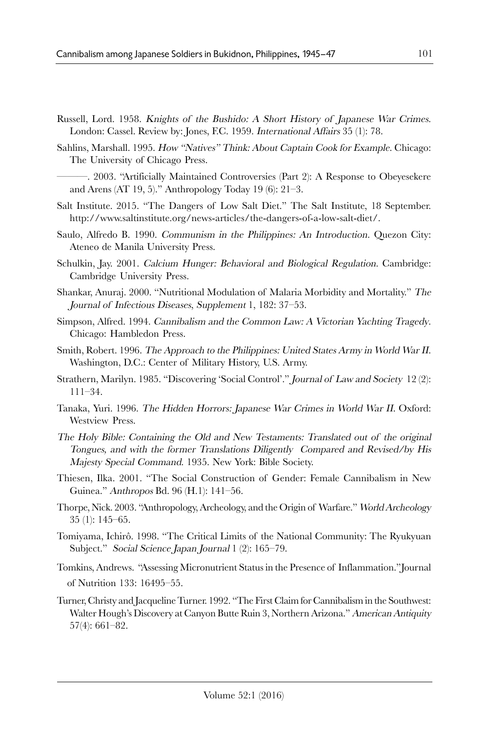- Russell, Lord. 1958. Knights of the Bushido: A Short History of Japanese War Crimes. London: Cassel. Review by: Jones, F.C. 1959. International Affairs 35 (1): 78.
- Sahlins, Marshall. 1995. How "Natives" Think: About Captain Cook for Example. Chicago: The University of Chicago Press.
- ———. 2003. "Artificially Maintained Controversies (Part 2): A Response to Obeyesekere and Arens (AT 19, 5)." Anthropology Today 19 (6): 21–3.
- Salt Institute. 2015. "The Dangers of Low Salt Diet." The Salt Institute, 18 September. http://www.saltinstitute.org/news-articles/the-dangers-of-a-low-salt-diet/.
- Saulo, Alfredo B. 1990. Communism in the Philippines: An Introduction. Quezon City: Ateneo de Manila University Press.
- Schulkin, Jay. 2001. Calcium Hunger: Behavioral and Biological Regulation. Cambridge: Cambridge University Press.
- Shankar, Anuraj. 2000. "Nutritional Modulation of Malaria Morbidity and Mortality." The Journal of Infectious Diseases, Supplement 1, 182: 37–53.
- Simpson, Alfred. 1994. Cannibalism and the Common Law: A Victorian Yachting Tragedy. Chicago: Hambledon Press.
- Smith, Robert. 1996. The Approach to the Philippines: United States Army in World War II. Washington, D.C.: Center of Military History, U.S. Army.
- Strathern, Marilyn. 1985. "Discovering 'Social Control'." Journal of Law and Society 12 (2): 111–34.
- Tanaka, Yuri. 1996. The Hidden Horrors: Japanese War Crimes in World War II. Oxford: Westview Press.
- The Holy Bible: Containing the Old and New Testaments: Translated out of the original Tongues, and with the former Translations Diligently Compared and Revised/by His Majesty Special Command. 1935. New York: Bible Society.
- Thiesen, Ilka. 2001. "The Social Construction of Gender: Female Cannibalism in New Guinea." Anthropos Bd. 96 (H.1): 141–56.
- Thorpe, Nick. 2003. "Anthropology, Archeology, and the Origin of Warfare." World Archeology 35 (1): 145–65.
- Tomiyama, Ichirô. 1998. "The Critical Limits of the National Community: The Ryukyuan Subject." Social Science Japan Journal 1 (2): 165–79.
- Tomkins, Andrews. "Assessing Micronutrient Status in the Presence of Inflammation."Journal of Nutrition 133: 16495–55.
- Turner, Christy and Jacqueline Turner. 1992. "The First Claim for Cannibalism in the Southwest: Walter Hough's Discovery at Canyon Butte Ruin 3, Northern Arizona." American Antiquity 57(4): 661–82.